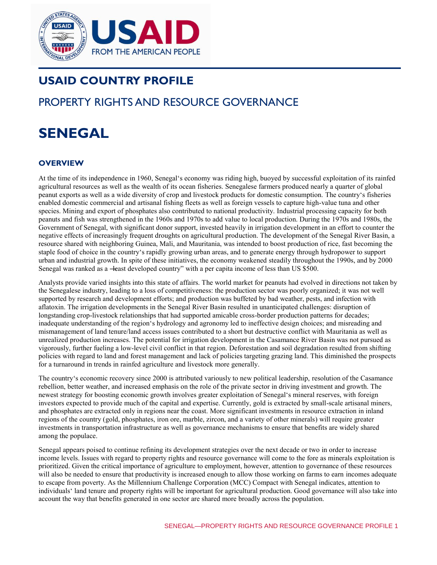

# **USAID COUNTRY PROFILE**

# PROPERTY RIGHTS AND RESOURCE GOVERNANCE

# **SENEGAL**

# **OVERVIEW**

At the time of its independence in 1960, Senegal's economy was riding high, buoyed by successful exploitation of its rainfed agricultural resources as well as the wealth of its ocean fisheries. Senegalese farmers produced nearly a quarter of global peanut exports as well as a wide diversity of crop and livestock products for domestic consumption. The country's fisheries enabled domestic commercial and artisanal fishing fleets as well as foreign vessels to capture high-value tuna and other species. Mining and export of phosphates also contributed to national productivity. Industrial processing capacity for both peanuts and fish was strengthened in the 1960s and 1970s to add value to local production. During the 1970s and 1980s, the Government of Senegal, with significant donor support, invested heavily in irrigation development in an effort to counter the negative effects of increasingly frequent droughts on agricultural production. The development of the Senegal River Basin, a resource shared with neighboring Guinea, Mali, and Mauritania, was intended to boost production of rice, fast becoming the staple food of choice in the country's rapidly growing urban areas, and to generate energy through hydropower to support urban and industrial growth. In spite of these initiatives, the economy weakened steadily throughout the 1990s, and by 2000 Senegal was ranked as a —least developed country" with a per capita income of less than US \$500.

Analysts provide varied insights into this state of affairs. The world market for peanuts had evolved in directions not taken by the Senegalese industry, leading to a loss of competitiveness: the production sector was poorly organized; it was not well supported by research and development efforts; and production was buffeted by bad weather, pests, and infection with aflatoxin. The irrigation developments in the Senegal River Basin resulted in unanticipated challenges: disruption of longstanding crop-livestock relationships that had supported amicable cross-border production patterns for decades; inadequate understanding of the region's hydrology and agronomy led to ineffective design choices; and misreading and mismanagement of land tenure/land access issues contributed to a short but destructive conflict with Mauritania as well as unrealized production increases. The potential for irrigation development in the Casamance River Basin was not pursued as vigorously, further fueling a low-level civil conflict in that region. Deforestation and soil degradation resulted from shifting policies with regard to land and forest management and lack of policies targeting grazing land. This diminished the prospects for a turnaround in trends in rainfed agriculture and livestock more generally.

The country's economic recovery since 2000 is attributed variously to new political leadership, resolution of the Casamance rebellion, better weather, and increased emphasis on the role of the private sector in driving investment and growth. The newest strategy for boosting economic growth involves greater exploitation of Senegal's mineral reserves, with foreign investors expected to provide much of the capital and expertise. Currently, gold is extracted by small-scale artisanal miners, and phosphates are extracted only in regions near the coast. More significant investments in resource extraction in inland regions of the country (gold, phosphates, iron ore, marble, zircon, and a variety of other minerals) will require greater investments in transportation infrastructure as well as governance mechanisms to ensure that benefits are widely shared among the populace.

Senegal appears poised to continue refining its development strategies over the next decade or two in order to increase income levels. Issues with regard to property rights and resource governance will come to the fore as minerals exploitation is prioritized. Given the critical importance of agriculture to employment, however, attention to governance of these resources will also be needed to ensure that productivity is increased enough to allow those working on farms to earn incomes adequate to escape from poverty. As the Millennium Challenge Corporation (MCC) Compact with Senegal indicates, attention to individuals' land tenure and property rights will be important for agricultural production. Good governance will also take into account the way that benefits generated in one sector are shared more broadly across the population.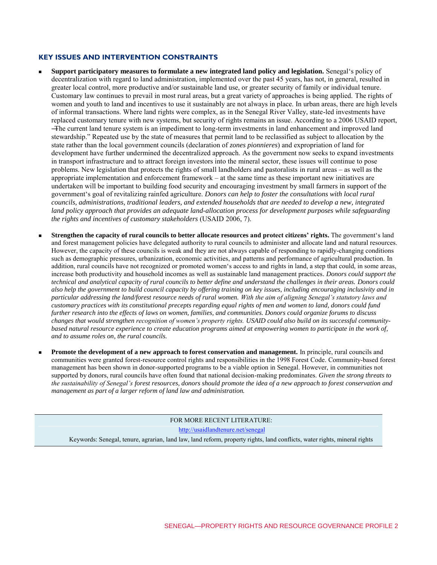#### **KEY ISSUES AND INTERVENTION CONSTRAINTS**

- **Support participatory measures to formulate a new integrated land policy and legislation.** Senegal's policy of decentralization with regard to land administration, implemented over the past 45 years, has not, in general, resulted in greater local control, more productive and/or sustainable land use, or greater security of family or individual tenure. Customary law continues to prevail in most rural areas, but a great variety of approaches is being applied. The rights of women and youth to land and incentives to use it sustainably are not always in place. In urban areas, there are high levels of informal transactions. Where land rights were complex, as in the Senegal River Valley, state-led investments have replaced customary tenure with new systems, but security of rights remains an issue. According to a 2006 USAID report, ―The current land tenure system is an impediment to long-term investments in land enhancement and improved land stewardship." Repeated use by the state of measures that permit land to be reclassified as subject to allocation by the state rather than the local government councils (declaration of *zones pionnieres*) and expropriation of land for development have further undermined the decentralized approach. As the government now seeks to expand investments in transport infrastructure and to attract foreign investors into the mineral sector, these issues will continue to pose problems. New legislation that protects the rights of small landholders and pastoralists in rural areas – as well as the appropriate implementation and enforcement framework – at the same time as these important new initiatives are undertaken will be important to building food security and encouraging investment by small farmers in support of the government's goal of revitalizing rainfed agriculture. *Donors can help to foster the consultations with local rural councils, administrations, traditional leaders, and extended households that are needed to develop a new, integrated*  land policy approach that provides an adequate land-allocation process for development purposes while safeguarding *the rights and incentives of customary stakeholders* (USAID 2006, 7).
- **Strengthen the capacity of rural councils to better allocate resources and protect citizens' rights.** The government's land and forest management policies have delegated authority to rural councils to administer and allocate land and natural resources. However, the capacity of these councils is weak and they are not always capable of responding to rapidly-changing conditions such as demographic pressures, urbanization, economic activities, and patterns and performance of agricultural production. In addition, rural councils have not recognized or promoted women's access to and rights in land, a step that could, in some areas, increase both productivity and household incomes as well as sustainable land management practices*. Donors could support the technical and analytical capacity of rural councils to better define and understand the challenges in their areas. Donors could also help the government to build council capacity by offering training on key issues, including encouraging inclusivity and in particular addressing the land/forest resource needs of rural women. With the aim of aligning Senegal's statutory laws and customary practices with its constitutional precepts regarding equal rights of men and women to land, donors could fund further research into the effects of laws on women, families, and communities. Donors could organize forums to discuss changes that would strengthen recognition of women's property rights. USAID could also build on its successful communitybased natural resource experience to create education programs aimed at empowering women to participate in the work of, and to assume roles on, the rural councils.*
- **Promote the development of a new approach to forest conservation and management.** In principle, rural councils and communities were granted forest-resource control rights and responsibilities in the 1998 Forest Code. Community-based forest management has been shown in donor-supported programs to be a viable option in Senegal. However, in communities not supported by donors, rural councils have often found that national decision-making predominates. *Given the strong threats to the sustainability of Senegal's forest resources, donors should promote the idea of a new approach to forest conservation and management as part of a larger reform of land law and administration.*

FOR MORE RECENT LITERATURE: <http://usaidlandtenure.net/senegal> Keywords: Senegal, tenure, agrarian, land law, land reform, property rights, land conflicts, water rights, mineral rights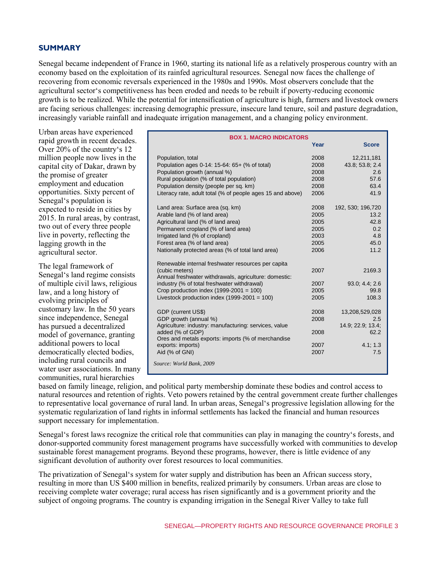#### **SUMMARY**

Senegal became independent of France in 1960, starting its national life as a relatively prosperous country with an economy based on the exploitation of its rainfed agricultural resources. Senegal now faces the challenge of recovering from economic reversals experienced in the 1980s and 1990s. Most observers conclude that the agricultural sector's competitiveness has been eroded and needs to be rebuilt if poverty-reducing economic growth is to be realized. While the potential for intensification of agriculture is high, farmers and livestock owners are facing serious challenges: increasing demographic pressure, insecure land tenure, soil and pasture degradation, increasingly variable rainfall and inadequate irrigation management, and a changing policy environment.

Urban areas have experienced rapid growth in recent decades. Over 20% of the country's 12 million people now lives in the capital city of Dakar, drawn by the promise of greater employment and education opportunities. Sixty percent of Senegal's population is expected to reside in cities by 2015. In rural areas, by contrast, two out of every three people live in poverty, reflecting the lagging growth in the agricultural sector.

The legal framework of Senegal's land regime consists of multiple civil laws, religious law, and a long history of evolving principles of customary law. In the 50 years since independence, Senegal has pursued a decentralized model of governance, granting additional powers to local democratically elected bodies, including rural councils and water user associations. In many communities, rural hierarchies

| <b>BOX 1. MACRO INDICATORS</b>                             |      |                   |  |
|------------------------------------------------------------|------|-------------------|--|
|                                                            | Year | <b>Score</b>      |  |
| Population, total                                          | 2008 | 12,211,181        |  |
| Population ages 0-14: 15-64: 65+ (% of total)              | 2008 | 43.8; 53.8; 2.4   |  |
| Population growth (annual %)                               | 2008 | 2.6               |  |
| Rural population (% of total population)                   | 2008 | 57.6              |  |
| Population density (people per sq. km)                     | 2008 | 63.4              |  |
| Literacy rate, adult total (% of people ages 15 and above) | 2006 | 41.9              |  |
| Land area: Surface area (sq. km)                           | 2008 | 192, 530; 196,720 |  |
| Arable land (% of land area)                               | 2005 | 13.2              |  |
| Agricultural land (% of land area)                         | 2005 | 42.8              |  |
| Permanent cropland (% of land area)                        | 2005 | 0.2               |  |
| Irrigated land (% of cropland)                             | 2003 | 4.8               |  |
| Forest area (% of land area)                               | 2005 | 45.0              |  |
| Nationally protected areas (% of total land area)          | 2006 | 11.2              |  |
| Renewable internal freshwater resources per capita         |      |                   |  |
| (cubic meters)                                             | 2007 | 2169.3            |  |
| Annual freshwater withdrawals, agriculture: domestic:      |      |                   |  |
| industry (% of total freshwater withdrawal)                | 2007 | 93.0, 4.4, 2.6    |  |
| Crop production index $(1999-2001 = 100)$                  | 2005 | 99.8              |  |
| Livestock production index $(1999-2001 = 100)$             | 2005 | 108.3             |  |
| GDP (current US\$)                                         | 2008 | 13,208,529,028    |  |
| GDP growth (annual %)                                      | 2008 | 2.5               |  |
| Agriculture: industry: manufacturing: services, value      |      | 14.9, 22.9, 13.4; |  |
| added (% of GDP)                                           | 2008 | 62.2              |  |
| Ores and metals exports: imports (% of merchandise         |      |                   |  |
| exports: imports)                                          | 2007 | 4.1; 1.3          |  |
| Aid (% of GNI)                                             | 2007 | 7.5               |  |
| Source: World Bank, 2009                                   |      |                   |  |

based on family lineage, religion, and political party membership dominate these bodies and control access to natural resources and retention of rights. Veto powers retained by the central government create further challenges to representative local governance of rural land. In urban areas, Senegal's progressive legislation allowing for the systematic regularization of land rights in informal settlements has lacked the financial and human resources support necessary for implementation.

Senegal's forest laws recognize the critical role that communities can play in managing the country's forests, and donor-supported community forest management programs have successfully worked with communities to develop sustainable forest management programs. Beyond these programs, however, there is little evidence of any significant devolution of authority over forest resources to local communities.

The privatization of Senegal's system for water supply and distribution has been an African success story, resulting in more than US \$400 million in benefits, realized primarily by consumers. Urban areas are close to receiving complete water coverage; rural access has risen significantly and is a government priority and the subject of ongoing programs. The country is expanding irrigation in the Senegal River Valley to take full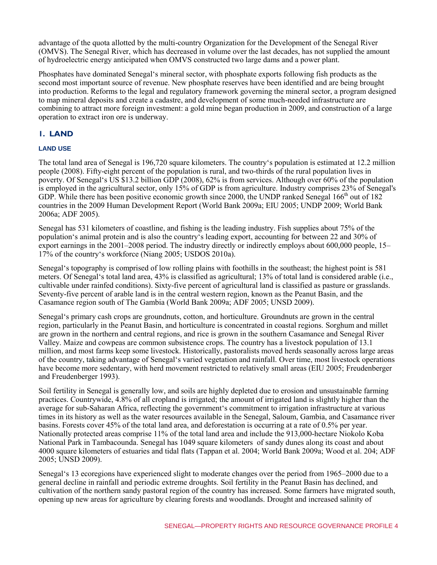advantage of the quota allotted by the multi-country Organization for the Development of the Senegal River (OMVS). The Senegal River, which has decreased in volume over the last decades, has not supplied the amount of hydroelectric energy anticipated when OMVS constructed two large dams and a power plant.

Phosphates have dominated Senegal's mineral sector, with phosphate exports following fish products as the second most important source of revenue. New phosphate reserves have been identified and are being brought into production. Reforms to the legal and regulatory framework governing the mineral sector, a program designed to map mineral deposits and create a cadastre, and development of some much-needed infrastructure are combining to attract more foreign investment: a gold mine began production in 2009, and construction of a large operation to extract iron ore is underway.

### **1. LAND**

#### **LAND USE**

The total land area of Senegal is 196,720 square kilometers. The country's population is estimated at 12.2 million people (2008). Fifty-eight percent of the population is rural, and two-thirds of the rural population lives in poverty. Of Senegal's US \$13.2 billion GDP (2008), 62% is from services. Although over 60% of the population is employed in the agricultural sector, only 15% of GDP is from agriculture. Industry comprises 23% of Senegal's GDP. While there has been positive economic growth since 2000, the UNDP ranked Senegal 166<sup>th</sup> out of 182 countries in the 2009 Human Development Report (World Bank 2009a; EIU 2005; UNDP 2009; World Bank 2006a; ADF 2005).

Senegal has 531 kilometers of coastline, and fishing is the leading industry. Fish supplies about 75% of the population's animal protein and is also the country's leading export, accounting for between 22 and 30% of export earnings in the 2001–2008 period. The industry directly or indirectly employs about 600,000 people, 15– 17% of the country's workforce (Niang 2005; USDOS 2010a).

Senegal's topography is comprised of low rolling plains with foothills in the southeast; the highest point is 581 meters. Of Senegal's total land area, 43% is classified as agricultural; 13% of total land is considered arable (i.e., cultivable under rainfed conditions). Sixty-five percent of agricultural land is classified as pasture or grasslands. Seventy-five percent of arable land is in the central western region, known as the Peanut Basin, and the Casamance region south of The Gambia (World Bank 2009a; ADF 2005; UNSD 2009).

Senegal's primary cash crops are groundnuts, cotton, and horticulture. Groundnuts are grown in the central region, particularly in the Peanut Basin, and horticulture is concentrated in coastal regions. Sorghum and millet are grown in the northern and central regions, and rice is grown in the southern Casamance and Senegal River Valley. Maize and cowpeas are common subsistence crops. The country has a livestock population of 13.1 million, and most farms keep some livestock. Historically, pastoralists moved herds seasonally across large areas of the country, taking advantage of Senegal's varied vegetation and rainfall. Over time, most livestock operations have become more sedentary, with herd movement restricted to relatively small areas (EIU 2005; Freudenberger and Freudenberger 1993).

Soil fertility in Senegal is generally low, and soils are highly depleted due to erosion and unsustainable farming practices. Countrywide, 4.8% of all cropland is irrigated; the amount of irrigated land is slightly higher than the average for sub-Saharan Africa, reflecting the government's commitment to irrigation infrastructure at various times in its history as well as the water resources available in the Senegal, Saloum, Gambia, and Casamance river basins. Forests cover 45% of the total land area, and deforestation is occurring at a rate of 0.5% per year. Nationally protected areas comprise 11% of the total land area and include the 913,000-hectare Niokolo Koba National Park in Tambacounda. Senegal has 1049 square kilometers of sandy dunes along its coast and about 4000 square kilometers of estuaries and tidal flats (Tappan et al. 2004; World Bank 2009a; Wood et al. 204; ADF 2005; UNSD 2009).

Senegal's 13 ecoregions have experienced slight to moderate changes over the period from 1965–2000 due to a general decline in rainfall and periodic extreme droughts. Soil fertility in the Peanut Basin has declined, and cultivation of the northern sandy pastoral region of the country has increased. Some farmers have migrated south, opening up new areas for agriculture by clearing forests and woodlands. Drought and increased salinity of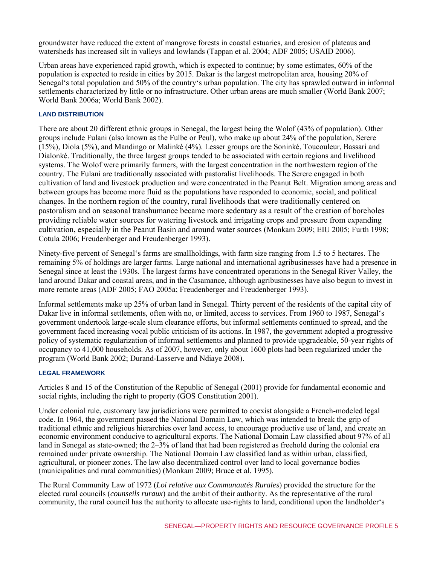groundwater have reduced the extent of mangrove forests in coastal estuaries, and erosion of plateaus and watersheds has increased silt in valleys and lowlands (Tappan et al. 2004; ADF 2005; USAID 2006).

Urban areas have experienced rapid growth, which is expected to continue; by some estimates, 60% of the population is expected to reside in cities by 2015. Dakar is the largest metropolitan area, housing 20% of Senegal's total population and 50% of the country's urban population. The city has sprawled outward in informal settlements characterized by little or no infrastructure. Other urban areas are much smaller (World Bank 2007; World Bank 2006a; World Bank 2002).

#### **LAND DISTRIBUTION**

There are about 20 different ethnic groups in Senegal, the largest being the Wolof (43% of population). Other groups include Fulani (also known as the Fulbe or Peul), who make up about 24% of the population, Serere (15%), Diola (5%), and Mandingo or Malinké (4%). Lesser groups are the Soninké, Toucouleur, Bassari and Dialonké. Traditionally, the three largest groups tended to be associated with certain regions and livelihood systems. The Wolof were primarily farmers, with the largest concentration in the northwestern region of the country. The Fulani are traditionally associated with pastoralist livelihoods. The Serere engaged in both cultivation of land and livestock production and were concentrated in the Peanut Belt. Migration among areas and between groups has become more fluid as the populations have responded to economic, social, and political changes. In the northern region of the country, rural livelihoods that were traditionally centered on pastoralism and on seasonal transhumance became more sedentary as a result of the creation of boreholes providing reliable water sources for watering livestock and irrigating crops and pressure from expanding cultivation, especially in the Peanut Basin and around water sources (Monkam 2009; EIU 2005; Furth 1998; Cotula 2006; Freudenberger and Freudenberger 1993).

Ninety-five percent of Senegal's farms are smallholdings, with farm size ranging from 1.5 to 5 hectares. The remaining 5% of holdings are larger farms. Large national and international agribusinesses have had a presence in Senegal since at least the 1930s. The largest farms have concentrated operations in the Senegal River Valley, the land around Dakar and coastal areas, and in the Casamance, although agribusinesses have also begun to invest in more remote areas (ADF 2005; FAO 2005a; Freudenberger and Freudenberger 1993).

Informal settlements make up 25% of urban land in Senegal. Thirty percent of the residents of the capital city of Dakar live in informal settlements, often with no, or limited, access to services. From 1960 to 1987, Senegal's government undertook large-scale slum clearance efforts, but informal settlements continued to spread, and the government faced increasing vocal public criticism of its actions. In 1987, the government adopted a progressive policy of systematic regularization of informal settlements and planned to provide upgradeable, 50-year rights of occupancy to 41,000 households. As of 2007, however, only about 1600 plots had been regularized under the program (World Bank 2002; Durand-Lasserve and Ndiaye 2008).

#### **LEGAL FRAMEWORK**

Articles 8 and 15 of the Constitution of the Republic of Senegal (2001) provide for fundamental economic and social rights, including the right to property (GOS Constitution 2001).

Under colonial rule, customary law jurisdictions were permitted to coexist alongside a French-modeled legal code. In 1964, the government passed the National Domain Law, which was intended to break the grip of traditional ethnic and religious hierarchies over land access, to encourage productive use of land, and create an economic environment conducive to agricultural exports. The National Domain Law classified about 97% of all land in Senegal as state-owned; the 2–3% of land that had been registered as freehold during the colonial era remained under private ownership. The National Domain Law classified land as within urban, classified, agricultural, or pioneer zones. The law also decentralized control over land to local governance bodies (municipalities and rural communities) (Monkam 2009; Bruce et al. 1995).

The Rural Community Law of 1972 (*Loi relative aux Communautés Rurales*) provided the structure for the elected rural councils (*counseils ruraux*) and the ambit of their authority. As the representative of the rural community, the rural council has the authority to allocate use-rights to land, conditional upon the landholder's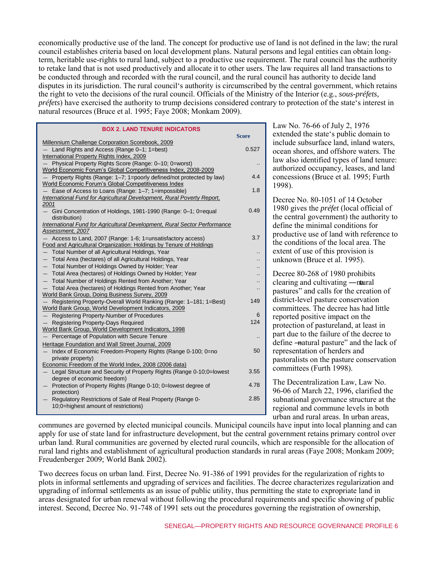economically productive use of the land. The concept for productive use of land is not defined in the law; the rural council establishes criteria based on local development plans. Natural persons and legal entities can obtain longterm, heritable use-rights to rural land, subject to a productive use requirement. The rural council has the authority to retake land that is not used productively and allocate it to other users. The law requires all land transactions to be conducted through and recorded with the rural council, and the rural council has authority to decide land disputes in its jurisdiction. The rural council's authority is circumscribed by the central government, which retains the right to veto the decisions of the rural council. Officials of the Ministry of the Interior (e.g., *sous-préfets, préfets*) have exercised the authority to trump decisions considered contrary to protection of the state's interest in natural resources (Bruce et al. 1995; Faye 2008; Monkam 2009).

| <b>BOX 2. LAND TENURE INDICATORS</b>                                              |       |  |  |
|-----------------------------------------------------------------------------------|-------|--|--|
|                                                                                   |       |  |  |
| Millennium Challenge Corporation Scorebook, 2009                                  |       |  |  |
| - Land Rights and Access (Range 0-1; 1=best)                                      | 0.527 |  |  |
| International Property Rights Index, 2009                                         |       |  |  |
| Physical Property Rights Score (Range: 0-10; 0=worst)                             |       |  |  |
| World Economic Forum's Global Competitiveness Index, 2008-2009                    |       |  |  |
| Property Rights (Range: 1–7; 1=poorly defined/not protected by law)               | 4.4   |  |  |
| World Economic Forum's Global Competitiveness Index                               |       |  |  |
| Ease of Access to Loans (Range: 1-7; 1=impossible)                                | 1.8   |  |  |
| International Fund for Agricultural Development, Rural Poverty Report,            |       |  |  |
| 2001                                                                              |       |  |  |
| Gini Concentration of Holdings, 1981-1990 (Range: 0-1; 0=equal<br>distribution)   | 0.49  |  |  |
| International Fund for Agricultural Development, Rural Sector Performance         |       |  |  |
| Assessment, 2007                                                                  |       |  |  |
| - Access to Land, 2007 (Range: 1-6; 1=unsatisfactory access)                      | 3.7   |  |  |
| Food and Agricultural Organization: Holdings by Tenure of Holdings                |       |  |  |
| Total Number of all Agricultural Holdings, Year                                   |       |  |  |
| Total Area (hectares) of all Agricultural Holdings, Year                          |       |  |  |
| - Total Number of Holdings Owned by Holder; Year                                  |       |  |  |
| - Total Area (hectares) of Holdings Owned by Holder; Year                         |       |  |  |
| Total Number of Holdings Rented from Another; Year                                |       |  |  |
| Total Area (hectares) of Holdings Rented from Another; Year                       |       |  |  |
| World Bank Group, Doing Business Survey, 2009                                     |       |  |  |
| Registering Property-Overall World Ranking (Range: 1-181; 1=Best)                 | 149   |  |  |
| World Bank Group, World Development Indicators, 2009                              |       |  |  |
| Registering Property-Number of Procedures                                         | 6     |  |  |
| Registering Property-Days Required                                                | 124   |  |  |
| World Bank Group, World Development Indicators, 1998                              |       |  |  |
| - Percentage of Population with Secure Tenure                                     |       |  |  |
| Heritage Foundation and Wall Street Journal, 2009                                 |       |  |  |
| Index of Economic Freedom-Property Rights (Range 0-100; 0=no<br>private property) | 50    |  |  |
| Economic Freedom of the World Index, 2008 (2006 data)                             |       |  |  |
| Legal Structure and Security of Property Rights (Range 0-10;0=lowest              | 3.55  |  |  |
| degree of economic freedom)                                                       |       |  |  |
| Protection of Property Rights (Range 0-10; 0=lowest degree of                     | 4.78  |  |  |
| protection)                                                                       |       |  |  |
| Regulatory Restrictions of Sale of Real Property (Range 0-                        | 2.85  |  |  |
| 10;0=highest amount of restrictions)                                              |       |  |  |
|                                                                                   |       |  |  |

Law No. 76-66 of July 2, 1976 extended the state's public domain to include subsurface land, inland waters, ocean shores, and offshore waters. The law also identified types of land tenure: authorized occupancy, leases, and land concessions (Bruce et al. 1995; Furth 1998).

Decree No. 80-1051 of 14 October 1980 gives the *préfet* (local official of the central government) the authority to define the minimal conditions for productive use of land with reference to the conditions of the local area. The extent of use of this provision is unknown (Bruce et al. 1995).

Decree 80-268 of 1980 prohibits clearing and cultivating —naural pastures" and calls for the creation of district-level pasture conservation committees. The decree has had little reported positive impact on the protection of pastureland, at least in part due to the failure of the decree to define —natural pasture" and the lack of representation of herders and pastoralists on the pasture conservation committees (Furth 1998).

The Decentralization Law, Law No. 96-06 of March 22, 1996, clarified the subnational governance structure at the regional and commune levels in both urban and rural areas. In urban areas,

communes are governed by elected municipal councils. Municipal councils have input into local planning and can apply for use of state land for infrastructure development, but the central government retains primary control over urban land. Rural communities are governed by elected rural councils, which are responsible for the allocation of rural land rights and establishment of agricultural production standards in rural areas (Faye 2008; Monkam 2009; Freudenberger 2009; World Bank 2002).

Two decrees focus on urban land. First, Decree No. 91-386 of 1991 provides for the regularization of rights to plots in informal settlements and upgrading of services and facilities. The decree characterizes regularization and upgrading of informal settlements as an issue of public utility, thus permitting the state to expropriate land in areas designated for urban renewal without following the procedural requirements and specific showing of public interest. Second, Decree No. 91-748 of 1991 sets out the procedures governing the registration of ownership,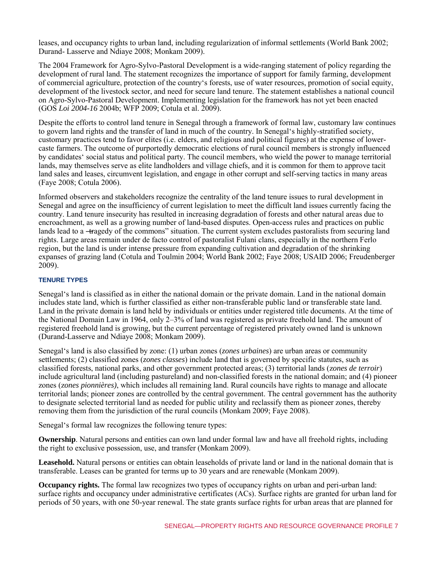leases, and occupancy rights to urban land, including regularization of informal settlements (World Bank 2002; Durand- Lasserve and Ndiaye 2008; Monkam 2009).

The 2004 Framework for Agro-Sylvo-Pastoral Development is a wide-ranging statement of policy regarding the development of rural land. The statement recognizes the importance of support for family farming, development of commercial agriculture, protection of the country's forests, use of water resources, promotion of social equity, development of the livestock sector, and need for secure land tenure. The statement establishes a national council on Agro-Sylvo-Pastoral Development. Implementing legislation for the framework has not yet been enacted (GOS *Loi 2004-16* 2004b; WFP 2009; Cotula et al. 2009).

Despite the efforts to control land tenure in Senegal through a framework of formal law, customary law continues to govern land rights and the transfer of land in much of the country. In Senegal's highly-stratified society, customary practices tend to favor elites (i.e. elders, and religious and political figures) at the expense of lowercaste farmers. The outcome of purportedly democratic elections of rural council members is strongly influenced by candidates' social status and political party. The council members, who wield the power to manage territorial lands, may themselves serve as elite landholders and village chiefs, and it is common for them to approve tacit land sales and leases, circumvent legislation, and engage in other corrupt and self-serving tactics in many areas (Faye 2008; Cotula 2006).

Informed observers and stakeholders recognize the centrality of the land tenure issues to rural development in Senegal and agree on the insufficiency of current legislation to meet the difficult land issues currently facing the country. Land tenure insecurity has resulted in increasing degradation of forests and other natural areas due to encroachment, as well as a growing number of land-based disputes. Open-access rules and practices on public lands lead to a —tragedy of the commons" situation. The current system excludes pastoralists from securing land rights. Large areas remain under de facto control of pastoralist Fulani clans, especially in the northern Ferlo region, but the land is under intense pressure from expanding cultivation and degradation of the shrinking expanses of grazing land (Cotula and Toulmin 2004; World Bank 2002; Faye 2008; USAID 2006; Freudenberger 2009).

#### **TENURE TYPES**

Senegal's land is classified as in either the national domain or the private domain. Land in the national domain includes state land, which is further classified as either non-transferable public land or transferable state land. Land in the private domain is land held by individuals or entities under registered title documents. At the time of the National Domain Law in 1964, only 2–3% of land was registered as private freehold land. The amount of registered freehold land is growing, but the current percentage of registered privately owned land is unknown (Durand-Lasserve and Ndiaye 2008; Monkam 2009).

Senegal's land is also classified by zone: (1) urban zones (*zones urbaines*) are urban areas or community settlements; (2) classified zones (*zones classes*) include land that is governed by specific statutes, such as classified forests, national parks, and other government protected areas; (3) territorial lands (z*ones de terroir*) include agricultural land (including pastureland) and non-classified forests in the national domain; and (4) pioneer zones (z*ones pionnières)*, which includes all remaining land. Rural councils have rights to manage and allocate territorial lands; pioneer zones are controlled by the central government. The central government has the authority to designate selected territorial land as needed for public utility and reclassify them as pioneer zones, thereby removing them from the jurisdiction of the rural councils (Monkam 2009; Faye 2008).

Senegal's formal law recognizes the following tenure types:

**Ownership**. Natural persons and entities can own land under formal law and have all freehold rights, including the right to exclusive possession, use, and transfer (Monkam 2009).

Leasehold. Natural persons or entities can obtain leaseholds of private land or land in the national domain that is transferable. Leases can be granted for terms up to 30 years and are renewable (Monkam 2009).

**Occupancy rights.** The formal law recognizes two types of occupancy rights on urban and peri-urban land: surface rights and occupancy under administrative certificates (ACs). Surface rights are granted for urban land for periods of 50 years, with one 50-year renewal. The state grants surface rights for urban areas that are planned for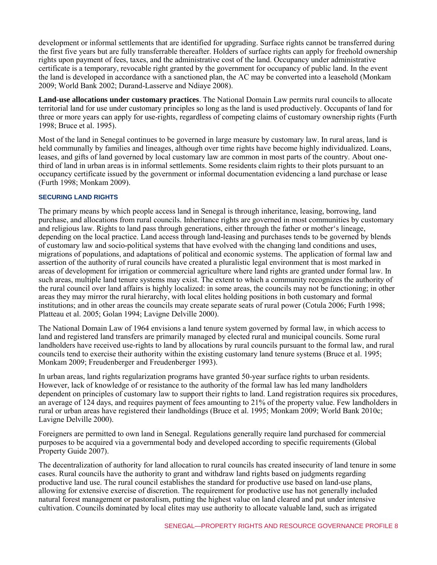development or informal settlements that are identified for upgrading. Surface rights cannot be transferred during the first five years but are fully transferrable thereafter. Holders of surface rights can apply for freehold ownership rights upon payment of fees, taxes, and the administrative cost of the land. Occupancy under administrative certificate is a temporary, revocable right granted by the government for occupancy of public land. In the event the land is developed in accordance with a sanctioned plan, the AC may be converted into a leasehold (Monkam 2009; World Bank 2002; Durand-Lasserve and Ndiaye 2008).

**Land-use allocations under customary practices**. The National Domain Law permits rural councils to allocate territorial land for use under customary principles so long as the land is used productively. Occupants of land for three or more years can apply for use-rights, regardless of competing claims of customary ownership rights (Furth 1998; Bruce et al. 1995).

Most of the land in Senegal continues to be governed in large measure by customary law. In rural areas, land is held communally by families and lineages, although over time rights have become highly individualized. Loans, leases, and gifts of land governed by local customary law are common in most parts of the country. About onethird of land in urban areas is in informal settlements. Some residents claim rights to their plots pursuant to an occupancy certificate issued by the government or informal documentation evidencing a land purchase or lease (Furth 1998; Monkam 2009).

#### **SECURING LAND RIGHTS**

The primary means by which people access land in Senegal is through inheritance, leasing, borrowing, land purchase, and allocations from rural councils. Inheritance rights are governed in most communities by customary and religious law. Rights to land pass through generations, either through the father or mother's lineage, depending on the local practice. Land access through land-leasing and purchases tends to be governed by blends of customary law and socio-political systems that have evolved with the changing land conditions and uses, migrations of populations, and adaptations of political and economic systems. The application of formal law and assertion of the authority of rural councils have created a pluralistic legal environment that is most marked in areas of development for irrigation or commercial agriculture where land rights are granted under formal law. In such areas, multiple land tenure systems may exist. The extent to which a community recognizes the authority of the rural council over land affairs is highly localized: in some areas, the councils may not be functioning; in other areas they may mirror the rural hierarchy, with local elites holding positions in both customary and formal institutions; and in other areas the councils may create separate seats of rural power (Cotula 2006; Furth 1998; Platteau et al. 2005; Golan 1994; Lavigne Delville 2000).

The National Domain Law of 1964 envisions a land tenure system governed by formal law, in which access to land and registered land transfers are primarily managed by elected rural and municipal councils. Some rural landholders have received use-rights to land by allocations by rural councils pursuant to the formal law, and rural councils tend to exercise their authority within the existing customary land tenure systems (Bruce et al. 1995; Monkam 2009; Freudenberger and Freudenberger 1993).

In urban areas, land rights regularization programs have granted 50-year surface rights to urban residents. However, lack of knowledge of or resistance to the authority of the formal law has led many landholders dependent on principles of customary law to support their rights to land. Land registration requires six procedures, an average of 124 days, and requires payment of fees amounting to 21% of the property value. Few landholders in rural or urban areas have registered their landholdings (Bruce et al. 1995; Monkam 2009; World Bank 2010c; Lavigne Delville 2000).

Foreigners are permitted to own land in Senegal. Regulations generally require land purchased for commercial purposes to be acquired via a governmental body and developed according to specific requirements (Global Property Guide 2007).

The decentralization of authority for land allocation to rural councils has created insecurity of land tenure in some cases. Rural councils have the authority to grant and withdraw land rights based on judgments regarding productive land use. The rural council establishes the standard for productive use based on land-use plans, allowing for extensive exercise of discretion. The requirement for productive use has not generally included natural forest management or pastoralism, putting the highest value on land cleared and put under intensive cultivation. Councils dominated by local elites may use authority to allocate valuable land, such as irrigated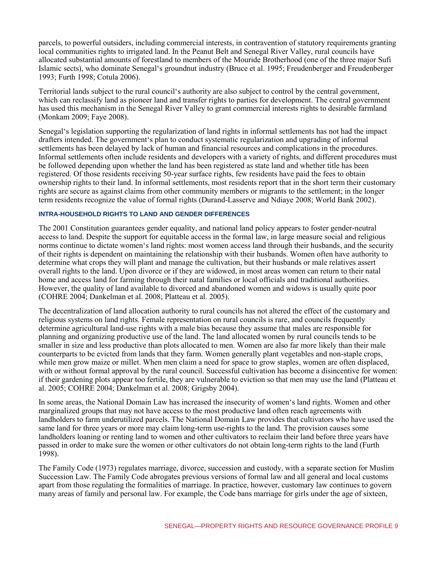parcels, to powerful outsiders, including commercial interests, in contravention of statutory requirements granting local communities rights to irrigated land. In the Peanut Belt and Senegal River Valley, rural councils have allocated substantial amounts of forestland to members of the Mouride Brotherhood (one of the three major Sufi Islamic sects), who dominate Senegal's groundnut industry (Bruce et al. 1995; Freudenberger and Freudenberger 1993; Furth 1998; Cotula 2006).

Territorial lands subject to the rural council's authority are also subject to control by the central government, which can reclassify land as pioneer land and transfer rights to parties for development. The central government has used this mechanism in the Senegal River Valley to grant commercial interests rights to desirable farmland (Monkam 2009; Faye 2008).

Senegal's legislation supporting the regularization of land rights in informal settlements has not had the impact drafters intended. The government's plan to conduct systematic regularization and upgrading of informal settlements has been delayed by lack of human and financial resources and complications in the procedures. Informal settlements often include residents and developers with a variety of rights, and different procedures must be followed depending upon whether the land has been registered as state land and whether title has been registered. Of those residents receiving 50-year surface rights, few residents have paid the fees to obtain ownership rights to their land. In informal settlements, most residents report that in the short term their customary rights are secure as against claims from other community members or migrants to the settlement; in the longer term residents recognize the value of formal rights (Durand-Lasserve and Ndiaye 2008; World Bank 2002).

#### **INTRA-HOUSEHOLD RIGHTS TO LAND AND GENDER DIFFERENCES**

The 2001 Constitution guarantees gender equality, and national land policy appears to foster gender-neutral access to land. Despite the support for equitable access in the formal law, in large measure social and religious norms continue to dictate women's land rights: most women access land through their husbands, and the security of their rights is dependent on maintaining the relationship with their husbands. Women often have authority to determine what crops they will plant and manage the cultivation, but their husbands or male relatives assert overall rights to the land. Upon divorce or if they are widowed, in most areas women can return to their natal home and access land for farming through their natal families or local officials and traditional authorities. However, the quality of land available to divorced and abandoned women and widows is usually quite poor (COHRE 2004; Dankelman et al. 2008; Platteau et al. 2005).

The decentralization of land allocation authority to rural councils has not altered the effect of the customary and religious systems on land rights. Female representation on rural councils is rare, and councils frequently determine agricultural land-use rights with a male bias because they assume that males are responsible for planning and organizing productive use of the land. The land allocated women by rural councils tends to be smaller in size and less productive than plots allocated to men. Women are also far more likely than their male counterparts to be evicted from lands that they farm. Women generally plant vegetables and non-staple crops, while men grow maize or millet. When men claim a need for space to grow staples, women are often displaced, with or without formal approval by the rural council. Successful cultivation has become a disincentive for women: if their gardening plots appear too fertile, they are vulnerable to eviction so that men may use the land (Platteau et al. 2005; COHRE 2004; Dankelman et al. 2008; Grigsby 2004).

In some areas, the National Domain Law has increased the insecurity of women's land rights. Women and other marginalized groups that may not have access to the most productive land often reach agreements with landholders to farm underutilized parcels. The National Domain Law provides that cultivators who have used the same land for three years or more may claim long-term use-rights to the land. The provision causes some landholders loaning or renting land to women and other cultivators to reclaim their land before three years have passed in order to make sure the women or other cultivators do not obtain long-term rights to the land (Furth 1998).

The Family Code (1973) regulates marriage, divorce, succession and custody, with a separate section for Muslim Succession Law. The Family Code abrogates previous versions of formal law and all general and local customs apart from those regulating the formalities of marriage. In practice, however, customary law continues to govern many areas of family and personal law. For example, the Code bans marriage for girls under the age of sixteen,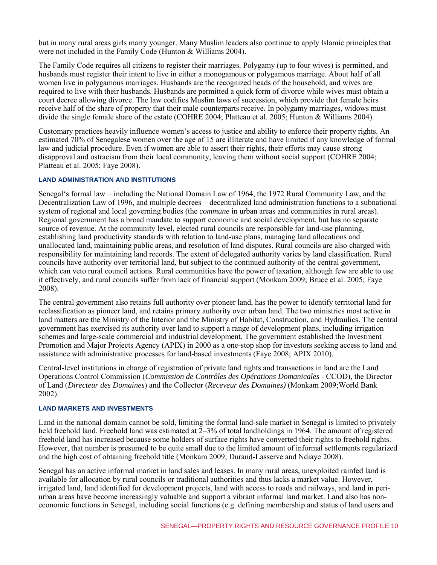but in many rural areas girls marry younger. Many Muslim leaders also continue to apply Islamic principles that were not included in the Family Code (Hunton & Williams 2004).

The Family Code requires all citizens to register their marriages. Polygamy (up to four wives) is permitted, and husbands must register their intent to live in either a monogamous or polygamous marriage. About half of all women live in polygamous marriages. Husbands are the recognized heads of the household, and wives are required to live with their husbands. Husbands are permitted a quick form of divorce while wives must obtain a court decree allowing divorce. The law codifies Muslim laws of succession, which provide that female heirs receive half of the share of property that their male counterparts receive. In polygamy marriages, widows must divide the single female share of the estate (COHRE 2004; Platteau et al. 2005; Hunton & Williams 2004).

Customary practices heavily influence women's access to justice and ability to enforce their property rights. An estimated 70% of Senegalese women over the age of 15 are illiterate and have limited if any knowledge of formal law and judicial procedure. Even if women are able to assert their rights, their efforts may cause strong disapproval and ostracism from their local community, leaving them without social support (COHRE 2004; Platteau et al. 2005; Faye 2008).

#### **LAND ADMINISTRATION AND INSTITUTIONS**

Senegal's formal law – including the National Domain Law of 1964, the 1972 Rural Community Law, and the Decentralization Law of 1996, and multiple decrees – decentralized land administration functions to a subnational system of regional and local governing bodies (the *commune* in urban areas and communities in rural areas). Regional government has a broad mandate to support economic and social development, but has no separate source of revenue. At the community level, elected rural councils are responsible for land-use planning, establishing land productivity standards with relation to land-use plans, managing land allocations and unallocated land, maintaining public areas, and resolution of land disputes. Rural councils are also charged with responsibility for maintaining land records. The extent of delegated authority varies by land classification. Rural councils have authority over territorial land, but subject to the continued authority of the central government, which can veto rural council actions. Rural communities have the power of taxation, although few are able to use it effectively, and rural councils suffer from lack of financial support (Monkam 2009; Bruce et al. 2005; Faye 2008).

The central government also retains full authority over pioneer land, has the power to identify territorial land for reclassification as pioneer land, and retains primary authority over urban land. The two ministries most active in land matters are the Ministry of the Interior and the Ministry of Habitat, Construction, and Hydraulics. The central government has exercised its authority over land to support a range of development plans, including irrigation schemes and large-scale commercial and industrial development. The government established the Investment Promotion and Major Projects Agency (APIX) in 2000 as a one-stop shop for investors seeking access to land and assistance with administrative processes for land-based investments (Faye 2008; APIX 2010).

Central-level institutions in charge of registration of private land rights and transactions in land are the Land Operations Control Commission (*Commission de Contrôles des Opérations Domanicales -* CCOD), the Director of Land (*Directeur des Domaines*) and the Collector (*Receveur des Domaines)* (Monkam 2009;World Bank 2002).

#### **LAND MARKETS AND INVESTMENTS**

Land in the national domain cannot be sold, limiting the formal land-sale market in Senegal is limited to privately held freehold land. Freehold land was estimated at 2–3% of total landholdings in 1964. The amount of registered freehold land has increased because some holders of surface rights have converted their rights to freehold rights. However, that number is presumed to be quite small due to the limited amount of informal settlements regularized and the high cost of obtaining freehold title (Monkam 2009; Durand-Lasserve and Ndiaye 2008).

Senegal has an active informal market in land sales and leases. In many rural areas, unexploited rainfed land is available for allocation by rural councils or traditional authorities and thus lacks a market value. However, irrigated land, land identified for development projects, land with access to roads and railways, and land in periurban areas have become increasingly valuable and support a vibrant informal land market. Land also has noneconomic functions in Senegal, including social functions (e.g. defining membership and status of land users and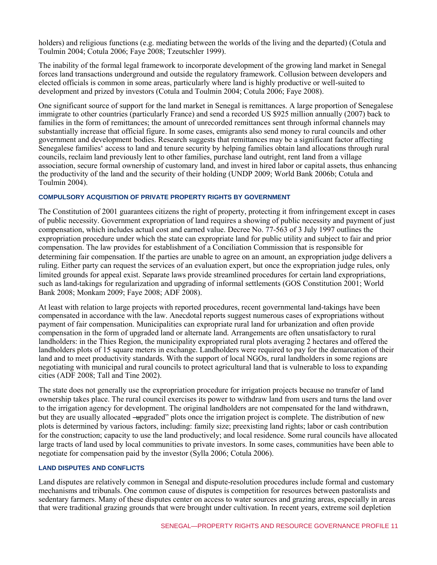holders) and religious functions (e.g. mediating between the worlds of the living and the departed) (Cotula and Toulmin 2004; Cotula 2006; Faye 2008; Tzeutschler 1999).

The inability of the formal legal framework to incorporate development of the growing land market in Senegal forces land transactions underground and outside the regulatory framework. Collusion between developers and elected officials is common in some areas, particularly where land is highly productive or well-suited to development and prized by investors (Cotula and Toulmin 2004; Cotula 2006; Faye 2008).

One significant source of support for the land market in Senegal is remittances. A large proportion of Senegalese immigrate to other countries (particularly France) and send a recorded US \$925 million annually (2007) back to families in the form of remittances; the amount of unrecorded remittances sent through informal channels may substantially increase that official figure. In some cases, emigrants also send money to rural councils and other government and development bodies. Research suggests that remittances may be a significant factor affecting Senegalese families' access to land and tenure security by helping families obtain land allocations through rural councils, reclaim land previously lent to other families, purchase land outright, rent land from a village association, secure formal ownership of customary land, and invest in hired labor or capital assets, thus enhancing the productivity of the land and the security of their holding (UNDP 2009; World Bank 2006b; Cotula and Toulmin 2004).

#### **COMPULSORY ACQUISITION OF PRIVATE PROPERTY RIGHTS BY GOVERNMENT**

The Constitution of 2001 guarantees citizens the right of property, protecting it from infringement except in cases of public necessity. Government expropriation of land requires a showing of public necessity and payment of just compensation, which includes actual cost and earned value. Decree No. 77-563 of 3 July 1997 outlines the expropriation procedure under which the state can expropriate land for public utility and subject to fair and prior compensation. The law provides for establishment of a Conciliation Commission that is responsible for determining fair compensation. If the parties are unable to agree on an amount, an expropriation judge delivers a ruling. Either party can request the services of an evaluation expert, but once the expropriation judge rules, only limited grounds for appeal exist. Separate laws provide streamlined procedures for certain land expropriations, such as land-takings for regularization and upgrading of informal settlements (GOS Constitution 2001; World Bank 2008; Monkam 2009; Faye 2008; ADF 2008).

At least with relation to large projects with reported procedures, recent governmental land-takings have been compensated in accordance with the law. Anecdotal reports suggest numerous cases of expropriations without payment of fair compensation. Municipalities can expropriate rural land for urbanization and often provide compensation in the form of upgraded land or alternate land. Arrangements are often unsatisfactory to rural landholders: in the Thies Region, the municipality expropriated rural plots averaging 2 hectares and offered the landholders plots of 15 square meters in exchange. Landholders were required to pay for the demarcation of their land and to meet productivity standards. With the support of local NGOs, rural landholders in some regions are negotiating with municipal and rural councils to protect agricultural land that is vulnerable to loss to expanding cities (ADF 2008; Tall and Tine 2002).

The state does not generally use the expropriation procedure for irrigation projects because no transfer of land ownership takes place. The rural council exercises its power to withdraw land from users and turns the land over to the irrigation agency for development. The original landholders are not compensated for the land withdrawn, but they are usually allocated —upgraded" plots once the irrigation project is complete. The distribution of new plots is determined by various factors, including: family size; preexisting land rights; labor or cash contribution for the construction; capacity to use the land productively; and local residence. Some rural councils have allocated large tracts of land used by local communities to private investors. In some cases, communities have been able to negotiate for compensation paid by the investor (Sylla 2006; Cotula 2006).

#### **LAND DISPUTES AND CONFLICTS**

Land disputes are relatively common in Senegal and dispute-resolution procedures include formal and customary mechanisms and tribunals. One common cause of disputes is competition for resources between pastoralists and sedentary farmers. Many of these disputes center on access to water sources and grazing areas, especially in areas that were traditional grazing grounds that were brought under cultivation. In recent years, extreme soil depletion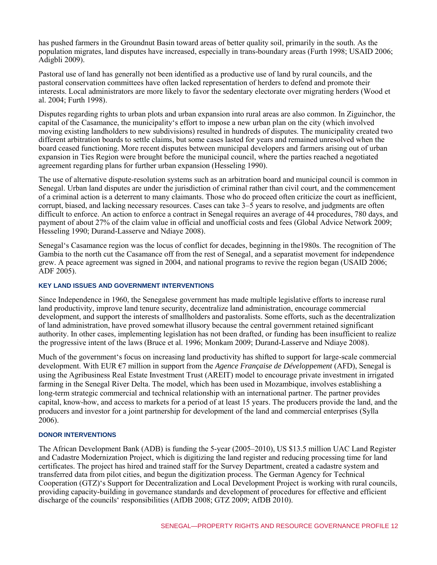has pushed farmers in the Groundnut Basin toward areas of better quality soil, primarily in the south. As the population migrates, land disputes have increased, especially in trans-boundary areas (Furth 1998; USAID 2006; Adigbli 2009).

Pastoral use of land has generally not been identified as a productive use of land by rural councils, and the pastoral conservation committees have often lacked representation of herders to defend and promote their interests. Local administrators are more likely to favor the sedentary electorate over migrating herders (Wood et al. 2004; Furth 1998).

Disputes regarding rights to urban plots and urban expansion into rural areas are also common. In Ziguinchor, the capital of the Casamance, the municipality's effort to impose a new urban plan on the city (which involved moving existing landholders to new subdivisions) resulted in hundreds of disputes. The municipality created two different arbitration boards to settle claims, but some cases lasted for years and remained unresolved when the board ceased functioning. More recent disputes between municipal developers and farmers arising out of urban expansion in Ties Region were brought before the municipal council, where the parties reached a negotiated agreement regarding plans for further urban expansion (Hesseling 1990).

The use of alternative dispute-resolution systems such as an arbitration board and municipal council is common in Senegal. Urban land disputes are under the jurisdiction of criminal rather than civil court, and the commencement of a criminal action is a deterrent to many claimants. Those who do proceed often criticize the court as inefficient, corrupt, biased, and lacking necessary resources. Cases can take 3–5 years to resolve, and judgments are often difficult to enforce. An action to enforce a contract in Senegal requires an average of 44 procedures, 780 days, and payment of about 27% of the claim value in official and unofficial costs and fees (Global Advice Network 2009; Hesseling 1990; Durand-Lasserve and Ndiaye 2008).

Senegal's Casamance region was the locus of conflict for decades, beginning in the1980s. The recognition of The Gambia to the north cut the Casamance off from the rest of Senegal, and a separatist movement for independence grew. A peace agreement was signed in 2004, and national programs to revive the region began (USAID 2006; ADF 2005).

#### **KEY LAND ISSUES AND GOVERNMENT INTERVENTIONS**

Since Independence in 1960, the Senegalese government has made multiple legislative efforts to increase rural land productivity, improve land tenure security, decentralize land administration, encourage commercial development, and support the interests of smallholders and pastoralists. Some efforts, such as the decentralization of land administration, have proved somewhat illusory because the central government retained significant authority. In other cases, implementing legislation has not been drafted, or funding has been insufficient to realize the progressive intent of the laws (Bruce et al. 1996; Monkam 2009; Durand-Lasserve and Ndiaye 2008).

Much of the government's focus on increasing land productivity has shifted to support for large-scale commercial development. With EUR €7 million in support from the *Agence Française de Développement* (AFD), Senegal is using the Agribusiness Real Estate Investment Trust (AREIT) model to encourage private investment in irrigated farming in the Senegal River Delta. The model, which has been used in Mozambique, involves establishing a long-term strategic commercial and technical relationship with an international partner. The partner provides capital, know-how, and access to markets for a period of at least 15 years. The producers provide the land, and the producers and investor for a joint partnership for development of the land and commercial enterprises (Sylla 2006).

#### **DONOR INTERVENTIONS**

The African Development Bank (ADB) is funding the 5-year (2005–2010), US \$13.5 million UAC Land Register and Cadastre Modernization Project, which is digitizing the land register and reducing processing time for land certificates. The project has hired and trained staff for the Survey Department, created a cadastre system and transferred data from pilot cities, and begun the digitization process. The German Agency for Technical Cooperation (GTZ)'s Support for Decentralization and Local Development Project is working with rural councils, providing capacity-building in governance standards and development of procedures for effective and efficient discharge of the councils' responsibilities (AfDB 2008; GTZ 2009; AfDB 2010).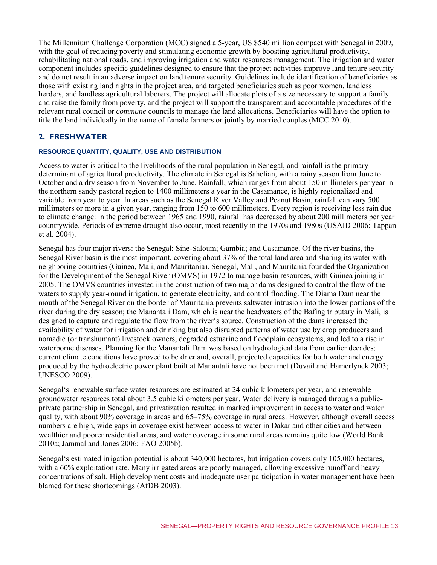The Millennium Challenge Corporation (MCC) signed a 5-year, US \$540 million compact with Senegal in 2009, with the goal of reducing poverty and stimulating economic growth by boosting agricultural productivity, rehabilitating national roads, and improving irrigation and water resources management. The irrigation and water component includes specific guidelines designed to ensure that the project activities improve land tenure security and do not result in an adverse impact on land tenure security. Guidelines include identification of beneficiaries as those with existing land rights in the project area, and targeted beneficiaries such as poor women, landless herders, and landless agricultural laborers. The project will allocate plots of a size necessary to support a family and raise the family from poverty, and the project will support the transparent and accountable procedures of the relevant rural council or *commune* councils to manage the land allocations. Beneficiaries will have the option to title the land individually in the name of female farmers or jointly by married couples (MCC 2010).

# **2. FRESHWATER**

#### **RESOURCE QUANTITY, QUALITY, USE AND DISTRIBUTION**

Access to water is critical to the livelihoods of the rural population in Senegal, and rainfall is the primary determinant of agricultural productivity. The climate in Senegal is Sahelian, with a rainy season from June to October and a dry season from November to June. Rainfall, which ranges from about 150 millimeters per year in the northern sandy pastoral region to 1400 millimeters a year in the Casamance, is highly regionalized and variable from year to year. In areas such as the Senegal River Valley and Peanut Basin, rainfall can vary 500 millimeters or more in a given year, ranging from 150 to 600 millimeters. Every region is receiving less rain due to climate change: in the period between 1965 and 1990, rainfall has decreased by about 200 millimeters per year countrywide. Periods of extreme drought also occur, most recently in the 1970s and 1980s (USAID 2006; Tappan et al. 2004).

Senegal has four major rivers: the Senegal; Sine-Saloum; Gambia; and Casamance. Of the river basins, the Senegal River basin is the most important, covering about 37% of the total land area and sharing its water with neighboring countries (Guinea, Mali, and Mauritania). Senegal, Mali, and Mauritania founded the Organization for the Development of the Senegal River (OMVS) in 1972 to manage basin resources, with Guinea joining in 2005. The OMVS countries invested in the construction of two major dams designed to control the flow of the waters to supply year-round irrigation, to generate electricity, and control flooding. The Diama Dam near the mouth of the Senegal River on the border of Mauritania prevents saltwater intrusion into the lower portions of the river during the dry season; the Manantali Dam, which is near the headwaters of the Bafing tributary in Mali, is designed to capture and regulate the flow from the river's source. Construction of the dams increased the availability of water for irrigation and drinking but also disrupted patterns of water use by crop producers and nomadic (or transhumant) livestock owners, degraded estuarine and floodplain ecosystems, and led to a rise in waterborne diseases. Planning for the Manantali Dam was based on hydrological data from earlier decades; current climate conditions have proved to be drier and, overall, projected capacities for both water and energy produced by the hydroelectric power plant built at Manantali have not been met (Duvail and Hamerlynck 2003; UNESCO 2009).

Senegal's renewable surface water resources are estimated at 24 cubic kilometers per year, and renewable groundwater resources total about 3.5 cubic kilometers per year. Water delivery is managed through a publicprivate partnership in Senegal, and privatization resulted in marked improvement in access to water and water quality, with about 90% coverage in areas and 65–75% coverage in rural areas. However, although overall access numbers are high, wide gaps in coverage exist between access to water in Dakar and other cities and between wealthier and poorer residential areas, and water coverage in some rural areas remains quite low (World Bank 2010a; Jammal and Jones 2006; FAO 2005b).

Senegal's estimated irrigation potential is about 340,000 hectares, but irrigation covers only 105,000 hectares, with a 60% exploitation rate. Many irrigated areas are poorly managed, allowing excessive runoff and heavy concentrations of salt. High development costs and inadequate user participation in water management have been blamed for these shortcomings (AfDB 2003).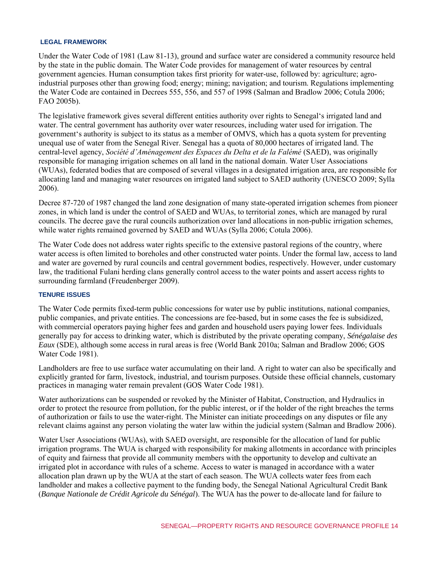#### **LEGAL FRAMEWORK**

Under the Water Code of 1981 (Law 81-13), ground and surface water are considered a community resource held by the state in the public domain. The Water Code provides for management of water resources by central government agencies. Human consumption takes first priority for water-use, followed by: agriculture; agroindustrial purposes other than growing food; energy; mining; navigation; and tourism. Regulations implementing the Water Code are contained in Decrees 555, 556, and 557 of 1998 (Salman and Bradlow 2006; Cotula 2006; FAO 2005b).

The legislative framework gives several different entities authority over rights to Senegal's irrigated land and water. The central government has authority over water resources, including water used for irrigation. The government's authority is subject to its status as a member of OMVS, which has a quota system for preventing unequal use of water from the Senegal River. Senegal has a quota of 80,000 hectares of irrigated land. The central-level agency, *Société d'Aménagement des Espaces du Delta et de la Falémé* (SAED), was originally responsible for managing irrigation schemes on all land in the national domain. Water User Associations (WUAs), federated bodies that are composed of several villages in a designated irrigation area, are responsible for allocating land and managing water resources on irrigated land subject to SAED authority (UNESCO 2009; Sylla 2006).

Decree 87-720 of 1987 changed the land zone designation of many state-operated irrigation schemes from pioneer zones, in which land is under the control of SAED and WUAs, to territorial zones, which are managed by rural councils. The decree gave the rural councils authorization over land allocations in non-public irrigation schemes, while water rights remained governed by SAED and WUAs (Sylla 2006; Cotula 2006).

The Water Code does not address water rights specific to the extensive pastoral regions of the country, where water access is often limited to boreholes and other constructed water points. Under the formal law, access to land and water are governed by rural councils and central government bodies, respectively. However, under customary law, the traditional Fulani herding clans generally control access to the water points and assert access rights to surrounding farmland (Freudenberger 2009).

#### **TENURE ISSUES**

The Water Code permits fixed-term public concessions for water use by public institutions, national companies, public companies, and private entities. The concessions are fee-based, but in some cases the fee is subsidized, with commercial operators paying higher fees and garden and household users paying lower fees. Individuals generally pay for access to drinking water, which is distributed by the private operating company, *Sénégalaise des Eaux* (SDE), although some access in rural areas is free (World Bank 2010a; Salman and Bradlow 2006; GOS Water Code 1981).

Landholders are free to use surface water accumulating on their land. A right to water can also be specifically and explicitly granted for farm, livestock, industrial, and tourism purposes. Outside these official channels, customary practices in managing water remain prevalent (GOS Water Code 1981).

Water authorizations can be suspended or revoked by the Minister of Habitat, Construction, and Hydraulics in order to protect the resource from pollution, for the public interest, or if the holder of the right breaches the terms of authorization or fails to use the water-right. The Minister can initiate proceedings on any disputes or file any relevant claims against any person violating the water law within the judicial system (Salman and Bradlow 2006).

Water User Associations (WUAs), with SAED oversight, are responsible for the allocation of land for public irrigation programs. The WUA is charged with responsibility for making allotments in accordance with principles of equity and fairness that provide all community members with the opportunity to develop and cultivate an irrigated plot in accordance with rules of a scheme. Access to water is managed in accordance with a water allocation plan drawn up by the WUA at the start of each season. The WUA collects water fees from each landholder and makes a collective payment to the funding body, the Senegal National Agricultural Credit Bank (*Banque Nationale de Crédit Agricole du Sénégal*). The WUA has the power to de-allocate land for failure to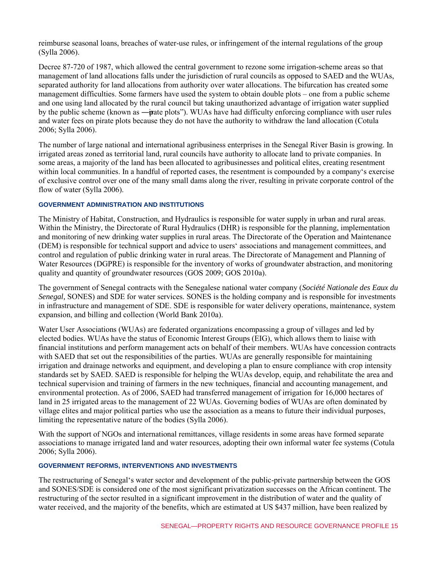reimburse seasonal loans, breaches of water-use rules, or infringement of the internal regulations of the group (Sylla 2006).

Decree 87-720 of 1987, which allowed the central government to rezone some irrigation-scheme areas so that management of land allocations falls under the jurisdiction of rural councils as opposed to SAED and the WUAs, separated authority for land allocations from authority over water allocations. The bifurcation has created some management difficulties. Some farmers have used the system to obtain double plots – one from a public scheme and one using land allocated by the rural council but taking unauthorized advantage of irrigation water supplied by the public scheme (known as —**p**ate plots<sup>?</sup>). WUAs have had difficulty enforcing compliance with user rules and water fees on pirate plots because they do not have the authority to withdraw the land allocation (Cotula 2006; Sylla 2006).

The number of large national and international agribusiness enterprises in the Senegal River Basin is growing. In irrigated areas zoned as territorial land, rural councils have authority to allocate land to private companies. In some areas, a majority of the land has been allocated to agribusinesses and political elites, creating resentment within local communities. In a handful of reported cases, the resentment is compounded by a company's exercise of exclusive control over one of the many small dams along the river, resulting in private corporate control of the flow of water (Sylla 2006).

#### **GOVERNMENT ADMINISTRATION AND INSTITUTIONS**

The Ministry of Habitat, Construction, and Hydraulics is responsible for water supply in urban and rural areas. Within the Ministry, the Directorate of Rural Hydraulics (DHR) is responsible for the planning, implementation and monitoring of new drinking water supplies in rural areas. The Directorate of the Operation and Maintenance (DEM) is responsible for technical support and advice to users' associations and management committees, and control and regulation of public drinking water in rural areas. The Directorate of Management and Planning of Water Resources (DGPRE) is responsible for the inventory of works of groundwater abstraction, and monitoring quality and quantity of groundwater resources (GOS 2009; GOS 2010a).

The government of Senegal contracts with the Senegalese national water company (*Société Nationale des Eaux du Senegal,* SONES) and SDE for water services. SONES is the holding company and is responsible for investments in infrastructure and management of SDE. SDE is responsible for water delivery operations, maintenance, system expansion, and billing and collection (World Bank 2010a).

Water User Associations (WUAs) are federated organizations encompassing a group of villages and led by elected bodies. WUAs have the status of Economic Interest Groups (EIG), which allows them to liaise with financial institutions and perform management acts on behalf of their members. WUAs have concession contracts with SAED that set out the responsibilities of the parties. WUAs are generally responsible for maintaining irrigation and drainage networks and equipment, and developing a plan to ensure compliance with crop intensity standards set by SAED. SAED is responsible for helping the WUAs develop, equip, and rehabilitate the area and technical supervision and training of farmers in the new techniques, financial and accounting management, and environmental protection. As of 2006, SAED had transferred management of irrigation for 16,000 hectares of land in 25 irrigated areas to the management of 22 WUAs. Governing bodies of WUAs are often dominated by village elites and major political parties who use the association as a means to future their individual purposes, limiting the representative nature of the bodies (Sylla 2006).

With the support of NGOs and international remittances, village residents in some areas have formed separate associations to manage irrigated land and water resources, adopting their own informal water fee systems (Cotula 2006; Sylla 2006).

#### **GOVERNMENT REFORMS, INTERVENTIONS AND INVESTMENTS**

The restructuring of Senegal's water sector and development of the public-private partnership between the GOS and SONES/SDE is considered one of the most significant privatization successes on the African continent. The restructuring of the sector resulted in a significant improvement in the distribution of water and the quality of water received, and the majority of the benefits, which are estimated at US \$437 million, have been realized by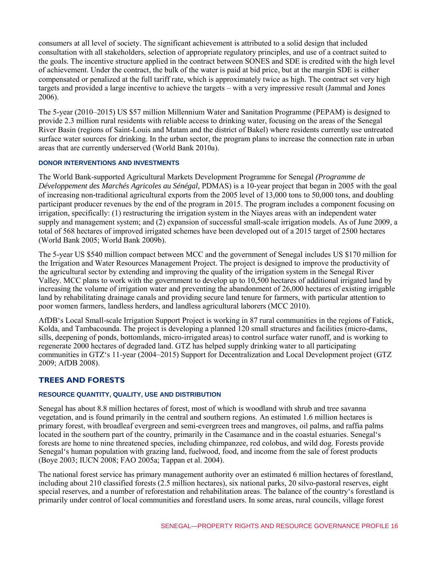consumers at all level of society. The significant achievement is attributed to a solid design that included consultation with all stakeholders, selection of appropriate regulatory principles, and use of a contract suited to the goals. The incentive structure applied in the contract between SONES and SDE is credited with the high level of achievement. Under the contract, the bulk of the water is paid at bid price, but at the margin SDE is either compensated or penalized at the full tariff rate, which is approximately twice as high. The contract set very high targets and provided a large incentive to achieve the targets – with a very impressive result (Jammal and Jones 2006).

The 5-year (2010–2015) US \$57 million Millennium Water and Sanitation Programme (PEPAM) is designed to provide 2.3 million rural residents with reliable access to drinking water, focusing on the areas of the Senegal River Basin (regions of Saint-Louis and Matam and the district of Bakel) where residents currently use untreated surface water sources for drinking. In the urban sector, the program plans to increase the connection rate in urban areas that are currently underserved (World Bank 2010a).

#### **DONOR INTERVENTIONS AND INVESTMENTS**

The World Bank-supported Agricultural Markets Development Programme for Senegal *(Programme de Développement des Marchés Agricoles au Sénégal,* PDMAS) is a 10-year project that began in 2005 with the goal of increasing non-traditional agricultural exports from the 2005 level of 13,000 tons to 50,000 tons, and doubling participant producer revenues by the end of the program in 2015. The program includes a component focusing on irrigation, specifically: (1) restructuring the irrigation system in the Niayes areas with an independent water supply and management system; and (2) expansion of successful small-scale irrigation models. As of June 2009, a total of 568 hectares of improved irrigated schemes have been developed out of a 2015 target of 2500 hectares (World Bank 2005; World Bank 2009b).

The 5-year US \$540 million compact between MCC and the government of Senegal includes US \$170 million for the Irrigation and Water Resources Management Project. The project is designed to improve the productivity of the agricultural sector by extending and improving the quality of the irrigation system in the Senegal River Valley. MCC plans to work with the government to develop up to 10,500 hectares of additional irrigated land by increasing the volume of irrigation water and preventing the abandonment of 26,000 hectares of existing irrigable land by rehabilitating drainage canals and providing secure land tenure for farmers, with particular attention to poor women farmers, landless herders, and landless agricultural laborers (MCC 2010).

AfDB's Local Small-scale Irrigation Support Project is working in 87 rural communities in the regions of Fatick, Kolda, and Tambacounda. The project is developing a planned 120 small structures and facilities (micro-dams, sills, deepening of ponds, bottomlands, micro-irrigated areas) to control surface water runoff, and is working to regenerate 2000 hectares of degraded land. GTZ has helped supply drinking water to all participating communities in GTZ's 11-year (2004–2015) Support for Decentralization and Local Development project (GTZ 2009; AfDB 2008).

# **TREES AND FORESTS**

#### **RESOURCE QUANTITY, QUALITY, USE AND DISTRIBUTION**

Senegal has about 8.8 million hectares of forest, most of which is woodland with shrub and tree savanna vegetation, and is found primarily in the central and southern regions. An estimated 1.6 million hectares is primary forest, with broadleaf evergreen and semi-evergreen trees and mangroves, oil palms, and raffia palms located in the southern part of the country, primarily in the Casamance and in the coastal estuaries. Senegal's forests are home to nine threatened species, including chimpanzee, red colobus, and wild dog. Forests provide Senegal's human population with grazing land, fuelwood, food, and income from the sale of forest products (Boye 2003; IUCN 2008; FAO 2005a; Tappan et al. 2004).

The national forest service has primary management authority over an estimated 6 million hectares of forestland, including about 210 classified forests (2.5 million hectares), six national parks, 20 silvo-pastoral reserves, eight special reserves, and a number of reforestation and rehabilitation areas. The balance of the country's forestland is primarily under control of local communities and forestland users. In some areas, rural councils, village forest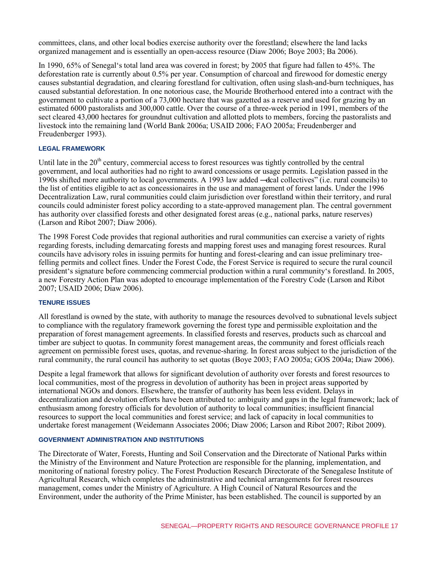committees, clans, and other local bodies exercise authority over the forestland; elsewhere the land lacks organized management and is essentially an open-access resource (Diaw 2006; Boye 2003; Ba 2006).

In 1990, 65% of Senegal's total land area was covered in forest; by 2005 that figure had fallen to 45%. The deforestation rate is currently about 0.5% per year. Consumption of charcoal and firewood for domestic energy causes substantial degradation, and clearing forestland for cultivation, often using slash-and-burn techniques, has caused substantial deforestation. In one notorious case, the Mouride Brotherhood entered into a contract with the government to cultivate a portion of a 73,000 hectare that was gazetted as a reserve and used for grazing by an estimated 6000 pastoralists and 300,000 cattle. Over the course of a three-week period in 1991, members of the sect cleared 43,000 hectares for groundnut cultivation and allotted plots to members, forcing the pastoralists and livestock into the remaining land (World Bank 2006a; USAID 2006; FAO 2005a; Freudenberger and Freudenberger 1993).

#### **LEGAL FRAMEWORK**

Until late in the  $20<sup>th</sup>$  century, commercial access to forest resources was tightly controlled by the central government, and local authorities had no right to award concessions or usage permits. Legislation passed in the 1990s shifted more authority to local governments. A 1993 law added —dcal collectives" (i.e. rural councils) to the list of entities eligible to act as concessionaires in the use and management of forest lands. Under the 1996 Decentralization Law, rural communities could claim jurisdiction over forestland within their territory, and rural councils could administer forest policy according to a state-approved management plan. The central government has authority over classified forests and other designated forest areas (e.g., national parks, nature reserves) (Larson and Ribot 2007; Diaw 2006).

The 1998 Forest Code provides that regional authorities and rural communities can exercise a variety of rights regarding forests, including demarcating forests and mapping forest uses and managing forest resources. Rural councils have advisory roles in issuing permits for hunting and forest-clearing and can issue preliminary treefelling permits and collect fines. Under the Forest Code, the Forest Service is required to secure the rural council president's signature before commencing commercial production within a rural community's forestland. In 2005, a new Forestry Action Plan was adopted to encourage implementation of the Forestry Code (Larson and Ribot 2007; USAID 2006; Diaw 2006).

#### **TENURE ISSUES**

All forestland is owned by the state, with authority to manage the resources devolved to subnational levels subject to compliance with the regulatory framework governing the forest type and permissible exploitation and the preparation of forest management agreements. In classified forests and reserves, products such as charcoal and timber are subject to quotas. In community forest management areas, the community and forest officials reach agreement on permissible forest uses, quotas, and revenue-sharing. In forest areas subject to the jurisdiction of the rural community, the rural council has authority to set quotas (Boye 2003; FAO 2005a; GOS 2004a; Diaw 2006).

Despite a legal framework that allows for significant devolution of authority over forests and forest resources to local communities, most of the progress in devolution of authority has been in project areas supported by international NGOs and donors. Elsewhere, the transfer of authority has been less evident. Delays in decentralization and devolution efforts have been attributed to: ambiguity and gaps in the legal framework; lack of enthusiasm among forestry officials for devolution of authority to local communities; insufficient financial resources to support the local communities and forest service; and lack of capacity in local communities to undertake forest management (Weidemann Associates 2006; Diaw 2006; Larson and Ribot 2007; Ribot 2009).

#### **GOVERNMENT ADMINISTRATION AND INSTITUTIONS**

The Directorate of Water, Forests, Hunting and Soil Conservation and the Directorate of National Parks within the Ministry of the Environment and Nature Protection are responsible for the planning, implementation, and monitoring of national forestry policy. The Forest Production Research Directorate of the Senegalese Institute of Agricultural Research, which completes the administrative and technical arrangements for forest resources management, comes under the Ministry of Agriculture. A High Council of Natural Resources and the Environment, under the authority of the Prime Minister, has been established. The council is supported by an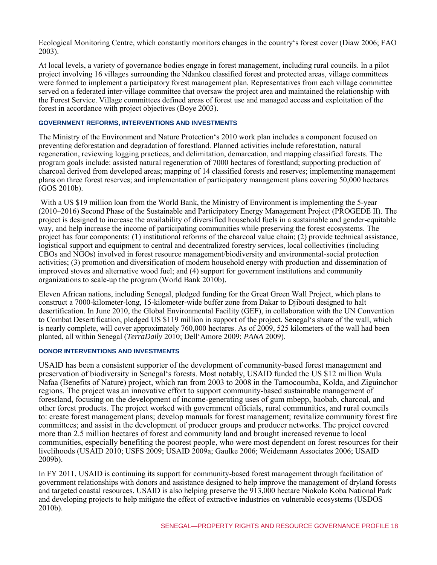Ecological Monitoring Centre, which constantly monitors changes in the country's forest cover (Diaw 2006; FAO 2003).

At local levels, a variety of governance bodies engage in forest management, including rural councils. In a pilot project involving 16 villages surrounding the Ndankou classified forest and protected areas, village committees were formed to implement a participatory forest management plan. Representatives from each village committee served on a federated inter-village committee that oversaw the project area and maintained the relationship with the Forest Service. Village committees defined areas of forest use and managed access and exploitation of the forest in accordance with project objectives (Boye 2003).

#### **GOVERNMENT REFORMS, INTERVENTIONS AND INVESTMENTS**

The Ministry of the Environment and Nature Protection's 2010 work plan includes a component focused on preventing deforestation and degradation of forestland. Planned activities include reforestation, natural regeneration, reviewing logging practices, and delimitation, demarcation, and mapping classified forests. The program goals include: assisted natural regeneration of 7000 hectares of forestland; supporting production of charcoal derived from developed areas; mapping of 14 classified forests and reserves; implementing management plans on three forest reserves; and implementation of participatory management plans covering 50,000 hectares (GOS 2010b).

With a US \$19 million loan from the World Bank, the Ministry of Environment is implementing the 5-year (2010–2016) Second Phase of the Sustainable and Participatory Energy Management Project (PROGEDE II). The project is designed to increase the availability of diversified household fuels in a sustainable and gender-equitable way, and help increase the income of participating communities while preserving the forest ecosystems. The project has four components: (1) institutional reforms of the charcoal value chain; (2) provide technical assistance, logistical support and equipment to central and decentralized forestry services, local collectivities (including CBOs and NGOs) involved in forest resource management/biodiversity and environmental-social protection activities; (3) promotion and diversification of modern household energy with production and dissemination of improved stoves and alternative wood fuel; and (4) support for government institutions and community organizations to scale-up the program (World Bank 2010b).

Eleven African nations, including Senegal, pledged funding for the Great Green Wall Project, which plans to construct a 7000-kilometer-long, 15-kilometer-wide buffer zone from Dakar to Djibouti designed to halt desertification. In June 2010, the Global Environmental Facility (GEF), in collaboration with the UN Convention to Combat Desertification, pledged US \$119 million in support of the project. Senegal's share of the wall, which is nearly complete, will cover approximately 760,000 hectares. As of 2009, 525 kilometers of the wall had been planted, all within Senegal (*TerraDaily* 2010; Dell'Amore 2009; *PANA* 2009).

#### **DONOR INTERVENTIONS AND INVESTMENTS**

USAID has been a consistent supporter of the development of community-based forest management and preservation of biodiversity in Senegal's forests. Most notably, USAID funded the US \$12 million Wula Nafaa (Benefits of Nature) project, which ran from 2003 to 2008 in the Tamocoumba, Kolda, and Ziguinchor regions. The project was an innovative effort to support community-based sustainable management of forestland, focusing on the development of income-generating uses of gum mbepp, baobab, charcoal, and other forest products. The project worked with government officials, rural communities, and rural councils to: create forest management plans; develop manuals for forest management; revitalize community forest fire committees; and assist in the development of producer groups and producer networks. The project covered more than 2.5 million hectares of forest and community land and brought increased revenue to local communities, especially benefiting the poorest people, who were most dependent on forest resources for their livelihoods (USAID 2010; USFS 2009; USAID 2009a; Gaulke 2006; Weidemann Associates 2006; USAID 2009b).

In FY 2011, USAID is continuing its support for community-based forest management through facilitation of government relationships with donors and assistance designed to help improve the management of dryland forests and targeted coastal resources. USAID is also helping preserve the 913,000 hectare Niokolo Koba National Park and developing projects to help mitigate the effect of extractive industries on vulnerable ecosystems (USDOS 2010b).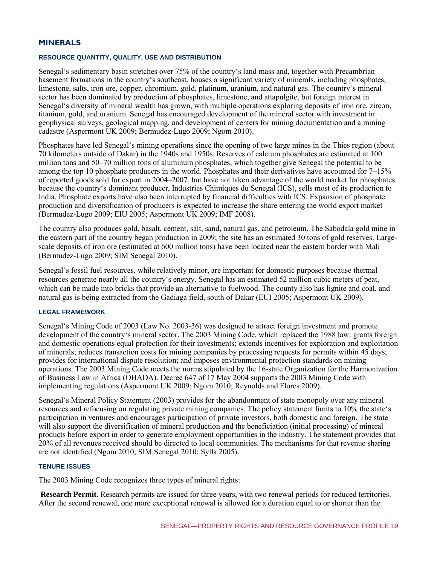#### **MINERALS**

#### **RESOURCE QUANTITY, QUALITY, USE AND DISTRIBUTION**

Senegal's sedimentary basin stretches over 75% of the country's land mass and, together with Precambrian basement formations in the country's southeast, houses a significant variety of minerals, including phosphates, limestone, salts, iron ore, copper, chromium, gold, platinum, uranium, and natural gas. The country's mineral sector has been dominated by production of phosphates, limestone, and attapulgite, but foreign interest in Senegal's diversity of mineral wealth has grown, with multiple operations exploring deposits of iron ore, zircon, titanium, gold, and uranium. Senegal has encouraged development of the mineral sector with investment in geophysical surveys, geological mapping, and development of centers for mining documentation and a mining cadastre (Aspermont UK 2009; Bermudez-Lugo 2009; Ngom 2010).

Phosphates have led Senegal's mining operations since the opening of two large mines in the Thies region (about 70 kilometers outside of Dakar) in the 1940s and 1950s. Reserves of calcium phosphates are estimated at 100 million tons and 50–70 million tons of aluminum phosphates, which together give Senegal the potential to be among the top 10 phosphate producers in the world. Phosphates and their derivatives have accounted for 7–15% of reported goods sold for export in 2004–2007, but have not taken advantage of the world market for phosphates because the country's dominant producer, Industries Chimiques du Senegal (ICS), sells most of its production to India. Phosphate exports have also been interrupted by financial difficulties with ICS. Expansion of phosphate production and diversification of producers is expected to increase the share entering the world export market (Bermudez-Lugo 2009; EIU 2005; Aspermont UK 2009; IMF 2008).

The country also produces gold, basalt, cement, salt, sand, natural gas, and petroleum. The Sabodala gold mine in the eastern part of the country began production in 2009; the site has an estimated 30 tons of gold reserves. Largescale deposits of iron ore (estimated at 600 million tons) have been located near the eastern border with Mali (Bermudez-Lugo 2009; SIM Senegal 2010).

Senegal's fossil fuel resources, while relatively minor, are important for domestic purposes because thermal resources generate nearly all the country's energy. Senegal has an estimated 52 million cubic meters of peat, which can be made into bricks that provide an alternative to fuelwood. The county also has lignite and coal, and natural gas is being extracted from the Gadiaga field, south of Dakar (EUI 2005; Aspermont UK 2009).

#### **LEGAL FRAMEWORK**

Senegal's Mining Code of 2003 (Law No. 2003-36) was designed to attract foreign investment and promote development of the country's mineral sector. The 2003 Mining Code, which replaced the 1988 law: grants foreign and domestic operations equal protection for their investments; extends incentives for exploration and exploitation of minerals; reduces transaction costs for mining companies by processing requests for permits within 45 days; provides for international dispute resolution; and imposes environmental protection standards on mining operations. The 2003 Mining Code meets the norms stipulated by the 16-state Organization for the Harmonization of Business Law in Africa (OHADA). Decree 647 of 17 May 2004 supports the 2003 Mining Code with implementing regulations (Aspermont UK 2009; Ngom 2010; Reynolds and Flores 2009).

Senegal's Mineral Policy Statement (2003) provides for the abandonment of state monopoly over any mineral resources and refocusing on regulating private mining companies. The policy statement limits to 10% the state's participation in ventures and encourages participation of private investors, both domestic and foreign. The state will also support the diversification of mineral production and the beneficiation (initial processing) of mineral products before export in order to generate employment opportunities in the industry. The statement provides that 20% of all revenues received should be directed to local communities. The mechanisms for that revenue sharing are not identified (Ngom 2010; SIM Senegal 2010; Sylla 2005).

#### **TENURE ISSUES**

The 2003 Mining Code recognizes three types of mineral rights:

**Research Permit**. Research permits are issued for three years, with two renewal periods for reduced territories. After the second renewal, one more exceptional renewal is allowed for a duration equal to or shorter than the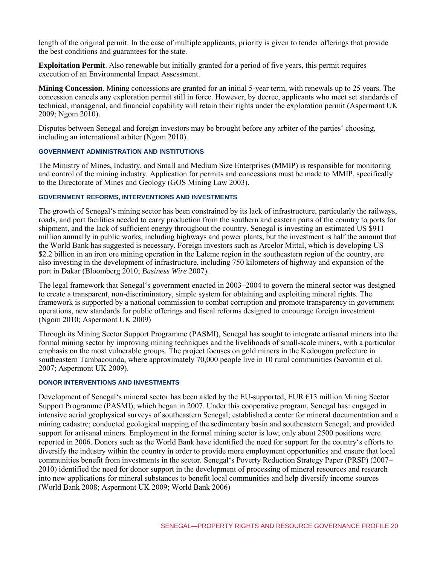length of the original permit. In the case of multiple applicants, priority is given to tender offerings that provide the best conditions and guarantees for the state.

**Exploitation Permit**. Also renewable but initially granted for a period of five years, this permit requires execution of an Environmental Impact Assessment.

**Mining Concession**. Mining concessions are granted for an initial 5-year term, with renewals up to 25 years. The concession cancels any exploration permit still in force. However, by decree, applicants who meet set standards of technical, managerial, and financial capability will retain their rights under the exploration permit (Aspermont UK 2009; Ngom 2010).

Disputes between Senegal and foreign investors may be brought before any arbiter of the parties' choosing, including an international arbiter (Ngom 2010).

#### **GOVERNMENT ADMINISTRATION AND INSTITUTIONS**

The Ministry of Mines, Industry, and Small and Medium Size Enterprises (MMIP) is responsible for monitoring and control of the mining industry. Application for permits and concessions must be made to MMIP, specifically to the Directorate of Mines and Geology (GOS Mining Law 2003).

#### **GOVERNMENT REFORMS, INTERVENTIONS AND INVESTMENTS**

The growth of Senegal's mining sector has been constrained by its lack of infrastructure, particularly the railways, roads, and port facilities needed to carry production from the southern and eastern parts of the country to ports for shipment, and the lack of sufficient energy throughout the country. Senegal is investing an estimated US \$911 million annually in public works, including highways and power plants, but the investment is half the amount that the World Bank has suggested is necessary. Foreign investors such as Arcelor Mittal, which is developing US \$2.2 billion in an iron ore mining operation in the Laleme region in the southeastern region of the country, are also investing in the development of infrastructure, including 750 kilometers of highway and expansion of the port in Dakar (Bloomberg 2010; *Business Wire* 2007).

The legal framework that Senegal's government enacted in 2003–2004 to govern the mineral sector was designed to create a transparent, non-discriminatory, simple system for obtaining and exploiting mineral rights. The framework is supported by a national commission to combat corruption and promote transparency in government operations, new standards for public offerings and fiscal reforms designed to encourage foreign investment (Ngom 2010; Aspermont UK 2009)

Through its Mining Sector Support Programme (PASMI), Senegal has sought to integrate artisanal miners into the formal mining sector by improving mining techniques and the livelihoods of small-scale miners, with a particular emphasis on the most vulnerable groups. The project focuses on gold miners in the Kedougou prefecture in southeastern Tambacounda, where approximately 70,000 people live in 10 rural communities (Savornin et al. 2007; Aspermont UK 2009).

#### **DONOR INTERVENTIONS AND INVESTMENTS**

Development of Senegal's mineral sector has been aided by the EU-supported, EUR  $E13$  million Mining Sector Support Programme (PASMI), which began in 2007. Under this cooperative program, Senegal has: engaged in intensive aerial geophysical surveys of southeastern Senegal; established a center for mineral documentation and a mining cadastre; conducted geological mapping of the sedimentary basin and southeastern Senegal; and provided support for artisanal miners. Employment in the formal mining sector is low; only about 2500 positions were reported in 2006. Donors such as the World Bank have identified the need for support for the country's efforts to diversify the industry within the country in order to provide more employment opportunities and ensure that local communities benefit from investments in the sector. Senegal's Poverty Reduction Strategy Paper (PRSP) (2007– 2010) identified the need for donor support in the development of processing of mineral resources and research into new applications for mineral substances to benefit local communities and help diversify income sources (World Bank 2008; Aspermont UK 2009; World Bank 2006)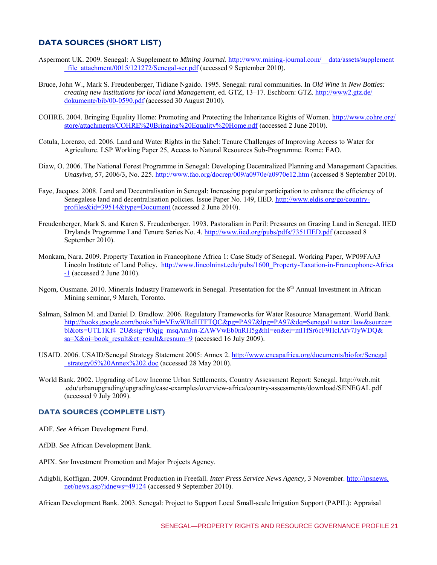# **DATA SOURCES (SHORT LIST)**

- Aspermont UK. 2009. Senegal: A Supplement to *Mining Journal*. [http://www.mining-journal.com/\\_\\_data/assets/supplement](http://www.mining-journal.com/__data/assets/supplement_file_attachment/0015/121272/Senegal-scr.pdf) file\_attachment/0015/121272/Senegal-scr.pdf (accessed 9 September 2010).
- Bruce, John W., Mark S. Freudenberger, Tidiane Ngaido. 1995. Senegal: rural communities. In *Old Wine in New Bottles: creating new institutions for local land Management,* ed. GTZ, 13–17. Eschborn: GTZ. [http://www2.gtz.de/](http://www2.gtz.de/dokumente/bib/00-0590.pdf) [dokumente/bib/00-0590.pdf](http://www2.gtz.de/dokumente/bib/00-0590.pdf) (accessed 30 August 2010).
- COHRE. 2004. Bringing Equality Home: Promoting and Protecting the Inheritance Rights of Women. [http://www.cohre.org/](http://www.cohre.org/store/attachments/COHRE%20Bringing%20Equality%20Home.pdf) [store/attachments/COHRE%20Bringing%20Equality%20Home.pdf \(](http://www.cohre.org/store/attachments/COHRE%20Bringing%20Equality%20Home.pdf)accessed 2 June 2010).
- Cotula, Lorenzo, ed. 2006. Land and Water Rights in the Sahel: Tenure Challenges of Improving Access to Water for Agriculture. LSP Working Paper 25, Access to Natural Resources Sub-Programme. Rome: FAO.
- Diaw, O. 2006. The National Forest Programme in Senegal: Developing Decentralized Planning and Management Capacities. *Unasylva,* 57, 2006/3, No. 225.<http://www.fao.org/docrep/009/a0970e/a0970e12.htm>(accessed 8 September 2010).
- Faye, Jacques. 2008. Land and Decentralisation in Senegal: Increasing popular participation to enhance the efficiency of Senegalese land and decentralisation policies. Issue Paper No. 149, IIED. [http://www.eldis.org/go/country](http://www.eldis.org/go/country-profiles&id=39514&type=Document)[profiles&id=39514&type=Document](http://www.eldis.org/go/country-profiles&id=39514&type=Document) (accessed 2 June 2010).
- Freudenberger, Mark S. and Karen S. Freudenberger. 1993. Pastoralism in Peril: Pressures on Grazing Land in Senegal. IIED Drylands Programme Land Tenure Series No. 4.<http://www.iied.org/pubs/pdfs/7351IIED.pdf>(accessed 8 September 2010).
- Monkam, Nara. 2009. Property Taxation in Francophone Africa 1: Case Study of Senegal. Working Paper, WP09FAA3 Lincoln Institute of Land Policy. [http://www.lincolninst.edu/pubs/1600\\_Property-Taxation-in-Francophone-Africa](http://www.lincolninst.edu/pubs/1600_Property-Taxation-in-Francophone-Africa-1) [-1 \(](http://www.lincolninst.edu/pubs/1600_Property-Taxation-in-Francophone-Africa-1)accessed 2 June 2010).
- Ngom, Ousmane. 2010. Minerals Industry Framework in Senegal. Presentation for the 8<sup>th</sup> Annual Investment in African Mining seminar, 9 March, Toronto.
- Salman, Salmon M. and Daniel D. Bradlow. 2006. Regulatory Frameworks for Water Resource Management. World Bank. [http://books.google.com/books?id=VEwWRdHFFTQC&pg=PA97&lpg=PA97&dq=Senegal+water+law&source=](http://books.google.com/books?id=VEwWRdHFFTQC&pg=PA97&lpg=PA97&dq=Senegal+water+law&source=bl&ots=UTL1Kf4_2U&sig=fOqjg_msqAmJm-ZAWVwEb0nRH5g&hl=en&ei=ml1fSr6cF9HclAfv7JyWDQ&sa=X&oi=book_result&ct=result&resnum=9) [bl&ots=UTL1Kf4\\_2U&sig=fOqjg\\_msqAmJm-ZAWVwEb0nRH5g&hl=en&ei=ml1fSr6cF9HclAfv7JyWDQ&](http://books.google.com/books?id=VEwWRdHFFTQC&pg=PA97&lpg=PA97&dq=Senegal+water+law&source=bl&ots=UTL1Kf4_2U&sig=fOqjg_msqAmJm-ZAWVwEb0nRH5g&hl=en&ei=ml1fSr6cF9HclAfv7JyWDQ&sa=X&oi=book_result&ct=result&resnum=9) [sa=X&oi=book\\_result&ct=result&resnum=9 \(](http://books.google.com/books?id=VEwWRdHFFTQC&pg=PA97&lpg=PA97&dq=Senegal+water+law&source=bl&ots=UTL1Kf4_2U&sig=fOqjg_msqAmJm-ZAWVwEb0nRH5g&hl=en&ei=ml1fSr6cF9HclAfv7JyWDQ&sa=X&oi=book_result&ct=result&resnum=9)accessed 16 July 2009).
- USAID. 2006. USAID/Senegal Strategy Statement 2005: Annex 2. [http://www.encapafrica.org/documents/biofor/Senegal](http://www.encapafrica.org/documents/biofor/Senegal_strategy05%20Annex%202.doc) strategy $05\%20$ Annex $\%202$ .doc (accessed 28 May 2010).
- World Bank. 2002. Upgrading of Low Income Urban Settlements, Country Assessment Report: Senegal. http://web.mit .edu/urbanupgrading/upgrading/case-examples/overview-africa/country-assessments/download/SENEGAL.pdf (accessed 9 July 2009).

#### **DATA SOURCES (COMPLETE LIST)**

- ADF. *See* African Development Fund.
- AfDB. *See* African Development Bank.
- APIX. *See* Investment Promotion and Major Projects Agency.
- Adigbli, Koffigan. 2009. Groundnut Production in Freefall. *Inter Press Service News Agency,* 3 November. [http://ipsnews.](http://ipsnews.net/news.asp?idnews=49124) [net/news.asp?idnews=49124](http://ipsnews.net/news.asp?idnews=49124) (accessed 9 September 2010).

African Development Bank. 2003. Senegal: Project to Support Local Small-scale Irrigation Support (PAPIL): Appraisal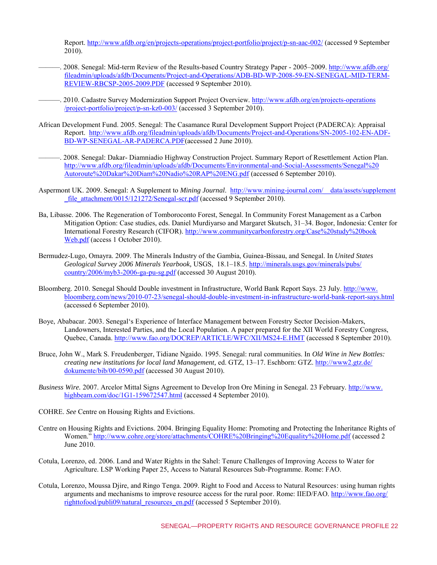Report.<http://www.afdb.org/en/projects-operations/project-portfolio/project/p-sn-aac-002/>(accessed 9 September 2010).

2008. Senegal: Mid-term Review of the Results-based Country Strategy Paper - 2005–2009[. http://www.afdb.org/](http://www.afdb.org/fileadmin/uploads/afdb/Documents/Project-and-Operations/ADB-BD-WP-2008-59-EN-SENEGAL-MID-TERM-REVIEW-RBCSP-2005-2009.PDF) [fileadmin/uploads/afdb/Documents/Project-and-Operations/ADB-BD-WP-2008-59-EN-SENEGAL-MID-TERM-](http://www.afdb.org/fileadmin/uploads/afdb/Documents/Project-and-Operations/ADB-BD-WP-2008-59-EN-SENEGAL-MID-TERM-REVIEW-RBCSP-2005-2009.PDF)[REVIEW-RBCSP-2005-2009.PDF](http://www.afdb.org/fileadmin/uploads/afdb/Documents/Project-and-Operations/ADB-BD-WP-2008-59-EN-SENEGAL-MID-TERM-REVIEW-RBCSP-2005-2009.PDF) (accessed 9 September 2010).

———. 2010. Cadastre Survey Modernization Support Project Overview. [http://www.afdb.org/en/projects-operations](http://www.afdb.org/en/projects-operations/project-portfolio/project/p-sn-kz0-003/) [/project-portfolio/project/p-sn-kz0-003/ \(](http://www.afdb.org/en/projects-operations/project-portfolio/project/p-sn-kz0-003/)accessed 3 September 2010).

- African Development Fund. 2005. Senegal: The Casamance Rural Development Support Project (PADERCA): Appraisal Report. [http://www.afdb.org/fileadmin/uploads/afdb/Documents/Project-and-Operations/SN-2005-102-EN-ADF-](http://www.afdb.org/fileadmin/uploads/afdb/Documents/Project-and-Operations/SN-2005-102-EN-ADF-BD-WP-SENEGAL-AR-PADERCA.PDF)[BD-WP-SENEGAL-AR-PADERCA.PDF\(](http://www.afdb.org/fileadmin/uploads/afdb/Documents/Project-and-Operations/SN-2005-102-EN-ADF-BD-WP-SENEGAL-AR-PADERCA.PDF)accessed 2 June 2010).
- ———. 2008. Senegal: Dakar- Diamniadio Highway Construction Project. Summary Report of Resettlement Action Plan. [http://www.afdb.org/fileadmin/uploads/afdb/Documents/Environmental-and-Social-Assessments/Senegal%20](http://www.afdb.org/fileadmin/uploads/afdb/Documents/Environmental-and-Social-Assessments/Senegal%20Autoroute%20Dakar%20Diam%20Nadio%20RAP%20ENG.pdf) [Autoroute%20Dakar%20Diam%20Nadio%20RAP%20ENG.pdf](http://www.afdb.org/fileadmin/uploads/afdb/Documents/Environmental-and-Social-Assessments/Senegal%20Autoroute%20Dakar%20Diam%20Nadio%20RAP%20ENG.pdf) (accessed 6 September 2010).
- Aspermont UK. 2009. Senegal: A Supplement to *Mining Journal*. [http://www.mining-journal.com/\\_\\_data/assets/supplement](http://www.mining-journal.com/__data/assets/supplement_file_attachment/0015/121272/Senegal-scr.pdf) file\_attachment/0015/121272/Senegal-scr.pdf (accessed 9 September 2010).
- Ba, Libasse. 2006. The Regeneration of Tomboroconto Forest, Senegal. In Community Forest Management as a Carbon Mitigation Option: Case studies, eds. Daniel Murdiyarso and Margaret Skutsch, 31–34. Bogor, Indonesia: Center for International Forestry Research (CIFOR). [http://www.communitycarbonforestry.org/Case%20study%20book](http://www.communitycarbonforestry.org/Case%20study%20bookWeb.pdf) [Web.pdf](http://www.communitycarbonforestry.org/Case%20study%20bookWeb.pdf) (access 1 October 2010).
- Bermudez-Lugo, Omayra. 2009. The Minerals Industry of the Gambia, Guinea-Bissau, and Senegal. In *United States Geological Survey 2006 Minerals Yearbook,* USGS, 18.1–18.5. [http://minerals.usgs.gov/minerals/pubs/](http://minerals.usgs.gov/minerals/pubs/country/2006/myb3-2006-ga-pu-sg.pdf) [country/2006/myb3-2006-ga-pu-sg.pdf \(](http://minerals.usgs.gov/minerals/pubs/country/2006/myb3-2006-ga-pu-sg.pdf)accessed 30 August 2010).
- Bloomberg. 2010. Senegal Should Double investment in Infrastructure, World Bank Report Says. 23 July. [http://www.](http://www.bloomberg.com/news/2010-07-23/senegal-should-double-investment-in-infrastructure-world-bank-report-says.html) [bloomberg.com/news/2010-07-23/senegal-should-double-investment-in-infrastructure-world-bank-report-says.html](http://www.bloomberg.com/news/2010-07-23/senegal-should-double-investment-in-infrastructure-world-bank-report-says.html) (accessed 6 September 2010).
- Boye, Ababacar. 2003. Senegal's Experience of Interface Management between Forestry Sector Decision-Makers, Landowners, Interested Parties, and the Local Population. A paper prepared for the XII World Forestry Congress, Quebec, Canada.<http://www.fao.org/DOCREP/ARTICLE/WFC/XII/MS24-E.HMT>(accessed 8 September 2010).
- Bruce, John W., Mark S. Freudenberger, Tidiane Ngaido. 1995. Senegal: rural communities. In *Old Wine in New Bottles: creating new institutions for local land Management,* ed. GTZ, 13–17. Eschborn: GTZ. [http://www2.gtz.de/](http://www2.gtz.de/dokumente/bib/00-0590.pdf) [dokumente/bib/00-0590.pdf](http://www2.gtz.de/dokumente/bib/00-0590.pdf) (accessed 30 August 2010).
- *Business Wire.* 2007. Arcelor Mittal Signs Agreement to Develop Iron Ore Mining in Senegal. 23 February. [http://www.](http://www.highbeam.com/doc/1G1-159672547.html) [highbeam.com/doc/1G1-159672547.html](http://www.highbeam.com/doc/1G1-159672547.html) (accessed 4 September 2010).
- COHRE. *See* Centre on Housing Rights and Evictions.
- Centre on Housing Rights and Evictions. 2004. Bringing Equality Home: Promoting and Protecting the Inheritance Rights of Women." [http://www.cohre.org/store/attachments/COHRE%20Bringing%20Equality%20Home.pdf \(](http://www.cohre.org/store/attachments/COHRE%20Bringing%20Equality%20Home.pdf)accessed 2) June 2010.
- Cotula, Lorenzo, ed. 2006. Land and Water Rights in the Sahel: Tenure Challenges of Improving Access to Water for Agriculture. LSP Working Paper 25, Access to Natural Resources Sub-Programme. Rome: FAO.
- Cotula, Lorenzo, Moussa Djire, and Ringo Tenga. 2009. Right to Food and Access to Natural Resources: using human rights arguments and mechanisms to improve resource access for the rural poor. Rome: IIED/FAO. [http://www.fao.org/](http://www.fao.org/righttofood/publi09/natural_resources_en.pdf) [righttofood/publi09/natural\\_resources\\_en.pdf](http://www.fao.org/righttofood/publi09/natural_resources_en.pdf) (accessed 5 September 2010).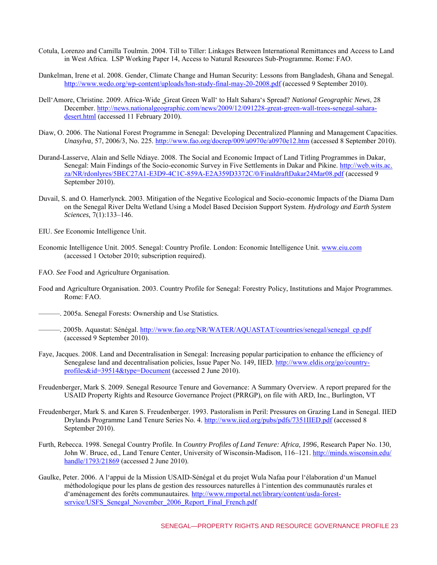- Cotula, Lorenzo and Camilla Toulmin. 2004. Till to Tiller: Linkages Between International Remittances and Access to Land in West Africa. LSP Working Paper 14, Access to Natural Resources Sub-Programme. Rome: FAO.
- Dankelman, Irene et al. 2008. Gender, Climate Change and Human Security: Lessons from Bangladesh, Ghana and Senegal. <http://www.wedo.org/wp-content/uploads/hsn-study-final-may-20-2008.pdf>(accessed 9 September 2010).
- Dell'Amore, Christine. 2009. Africa-Wide ‗Great Green Wall' to Halt Sahara's Spread? *National Geographic News*, 28 December. [http://news.nationalgeographic.com/news/2009/12/091228-great-green-wall-trees-senegal-sahara](http://news.nationalgeographic.com/news/2009/12/091228-great-green-wall-trees-senegal-sahara-desert.html)[desert.html](http://news.nationalgeographic.com/news/2009/12/091228-great-green-wall-trees-senegal-sahara-desert.html) (accessed 11 February 2010).
- Diaw, O. 2006. The National Forest Programme in Senegal: Developing Decentralized Planning and Management Capacities. *Unasylva,* 57, 2006/3, No. 225.<http://www.fao.org/docrep/009/a0970e/a0970e12.htm>(accessed 8 September 2010).
- Durand-Lasserve, Alain and Selle Ndiaye. 2008. The Social and Economic Impact of Land Titling Programmes in Dakar, Senegal: Main Findings of the Socio-economic Survey in Five Settlements in Dakar and Pikine. [http://web.wits.ac.](http://web.wits.ac.za/NR/rdonlyres/5BEC27A1-E3D9-4C1C-859A-E2A359D3372C/0/FinaldraftDakar24Mar08.pdf) [za/NR/rdonlyres/5BEC27A1-E3D9-4C1C-859A-E2A359D3372C/0/FinaldraftDakar24Mar08.pdf](http://web.wits.ac.za/NR/rdonlyres/5BEC27A1-E3D9-4C1C-859A-E2A359D3372C/0/FinaldraftDakar24Mar08.pdf) (accessed 9 September 2010).
- Duvail, S. and O. Hamerlynck. 2003. Mitigation of the Negative Ecological and Socio-economic Impacts of the Diama Dam on the Senegal River Delta Wetland Using a Model Based Decision Support System. *Hydrology and Earth System Sciences,* 7(1):133–146.
- EIU. *See* Economic Intelligence Unit.
- Economic Intelligence Unit. 2005. Senegal: Country Profile. London: Economic Intelligence Unit. [www.eiu.com](http://www.eiu.com/)  (accessed 1 October 2010; subscription required).
- FAO. *See* Food and Agriculture Organisation.
- Food and Agriculture Organisation. 2003. Country Profile for Senegal: Forestry Policy, Institutions and Major Programmes. Rome: FAO.
- ———. 2005a. Senegal Forests: Ownership and Use Statistics.
- ———. 2005b. Aquastat: Sénégal. [http://www.fao.org/NR/WATER/AQUASTAT/countries/senegal/senegal\\_cp.pdf](http://www.fao.org/NR/WATER/AQUASTAT/countries/senegal/senegal_cp.pdf)  (accessed 9 September 2010).
- Faye, Jacques. 2008. Land and Decentralisation in Senegal: Increasing popular participation to enhance the efficiency of Senegalese land and decentralisation policies, Issue Paper No. 149, IIED. [http://www.eldis.org/go/country](http://www.eldis.org/go/country-profiles&id=39514&type=Document)[profiles&id=39514&type=Document](http://www.eldis.org/go/country-profiles&id=39514&type=Document) (accessed 2 June 2010).
- Freudenberger, Mark S. 2009. Senegal Resource Tenure and Governance: A Summary Overview. A report prepared for the USAID Property Rights and Resource Governance Project (PRRGP), on file with ARD, Inc., Burlington, VT
- Freudenberger, Mark S. and Karen S. Freudenberger. 1993. Pastoralism in Peril: Pressures on Grazing Land in Senegal. IIED Drylands Programme Land Tenure Series No. 4.<http://www.iied.org/pubs/pdfs/7351IIED.pdf>(accessed 8 September 2010).
- Furth, Rebecca. 1998. Senegal Country Profile. In *Country Profiles of Land Tenure: Africa, 1996*, Research Paper No. 130, John W. Bruce, ed., Land Tenure Center, University of Wisconsin-Madison, 116–121. [http://minds.wisconsin.edu/](http://minds.wisconsin.edu/handle/1793/21869) [handle/1793/21869](http://minds.wisconsin.edu/handle/1793/21869) (accessed 2 June 2010).
- Gaulke, Peter. 2006. A l'appui de la Mission USAID-Sénégal et du projet Wula Nafaa pour l'élaboration d'un Manuel méthodologique pour les plans de gestion des ressources naturelles à l'intention des communautés rurales et d'aménagement des forêts communautaires. [http://www.rmportal.net/library/content/usda-forest](http://www.rmportal.net/library/content/usda-forest-service/USFS_Senegal_November_2006_Report_Final_French.pdf)[service/USFS\\_Senegal\\_November\\_2006\\_Report\\_Final\\_French.pdf](http://www.rmportal.net/library/content/usda-forest-service/USFS_Senegal_November_2006_Report_Final_French.pdf)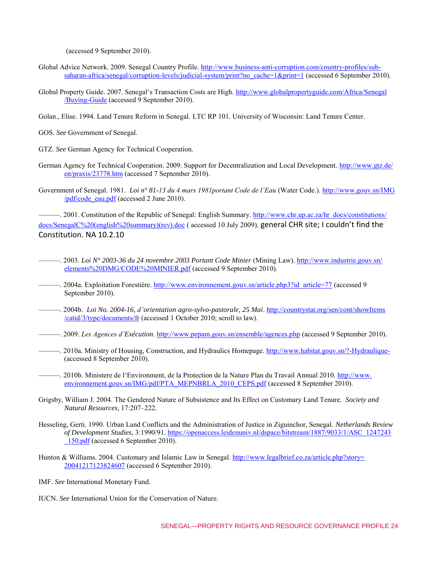(accessed 9 September 2010).

- Global Advice Network. 2009. Senegal Country Profile. [http://www.business-anti-corruption.com/country-profiles/sub](http://www.business-anti-corruption.com/country-profiles/sub-saharan-africa/senegal/corruption-levels/judicial-system/print?no_cache=1&print=1)[saharan-africa/senegal/corruption-levels/judicial-system/print?no\\_cache=1&print=1](http://www.business-anti-corruption.com/country-profiles/sub-saharan-africa/senegal/corruption-levels/judicial-system/print?no_cache=1&print=1) (accessed 6 September 2010).
- Global Property Guide. 2007. Senegal's Transaction Costs are High. [http://www.globalpropertyguide.com/Africa/Senegal](http://www.globalpropertyguide.com/Africa/Senegal/Buying-Guide) [/Buying-Guide](http://www.globalpropertyguide.com/Africa/Senegal/Buying-Guide) (accessed 9 September 2010).
- Golan., Elise. 1994. Land Tenure Reform in Senegal. LTC RP 101. University of Wisconsin: Land Tenure Center.
- GOS. *See* Government of Senegal.
- GTZ. *See* German Agency for Technical Cooperation.
- German Agency for Technical Cooperation. 2009. Support for Decentralization and Local Development. [http://www.gtz.de/](http://www.gtz.de/en/praxis/23778.htm) [en/praxis/23778.htm \(](http://www.gtz.de/en/praxis/23778.htm)accessed 7 September 2010).
- Government of Senegal. 1981. *Loi n° 81-13 du 4 mars 1981portant Code de l'Eau* (Water Code.)[. http://www.gouv.sn/IMG](http://www.gouv.sn/IMG/pdf/code_eau.pdf) [/pdf/code\\_eau.pdf](http://www.gouv.sn/IMG/pdf/code_eau.pdf) (accessed 2 June 2010).

——. 2001. Constitution of the Republic of Senegal: English Summary. [http://www.chr.up.ac.za/hr\\_docs/constitutions/](http://www.chr.up.ac.za/hr_docs/constitutions/docs/SenegalC%20(english%20summary)(rev).doc) [docs/SenegalC%20\(english%20summary\)\(rev\).doc](http://www.chr.up.ac.za/hr_docs/constitutions/docs/SenegalC%20(english%20summary)(rev).doc) ( accessed 10 July 2009). general CHR site; I couldn't find the Constitution. NA 10.2.10

- ———. 2003. *Loi N° 2003-36 du 24 novembre 2003 Portant Code Minier* (Mining Law)*.* [http://www.industrie.gouv.sn/](http://www.industrie.gouv.sn/elements%20DMG/CODE%20MINIER.pdf) [elements%20DMG/CODE%20MINIER.pdf](http://www.industrie.gouv.sn/elements%20DMG/CODE%20MINIER.pdf) (accessed 9 September 2010).
- ———. 2004a. Exploitation Forestière. [http://www.environnement.gouv.sn/article.php3?id\\_article=77](http://www.environnement.gouv.sn/article.php3?id_article=77) (accessed 9 September 2010).
- ———. 2004b. *Loi No. 2004-16, d'orientation agro-sylvo-pastorale, 25 Mai*[. http://countrystat.org/sen/cont/showItems](http://countrystat.org/sen/cont/showItems/catid/3/type/documents/fr) [/catid/3/type/documents/fr](http://countrystat.org/sen/cont/showItems/catid/3/type/documents/fr) (accessed 1 October 2010; scroll to law).
- ———. 2009. *Les Agences d'Exécution*[. http://www.pepam.gouv.sn/ensemble/agences.php](http://www.pepam.gouv.sn/ensemble/agences.php) (accessed 9 September 2010).
- ——. 2010a. Ministry of Housing, Construction, and Hydraulics Homepage. http://www.habitat.gouv.sn/?-Hydraulique-(accessed 8 September 2010).
- —. 2010b. Ministere de l'Environment, de la Protection de la Nature Plan du Travail Annual 2010. [http://www.](http://www.environnement.gouv.sn/IMG/pdf/PTA_MEPNBRLA_2010_CEPS.pdf) [environnement.gouv.sn/IMG/pdf/PTA\\_MEPNBRLA\\_2010\\_CEPS.pdf](http://www.environnement.gouv.sn/IMG/pdf/PTA_MEPNBRLA_2010_CEPS.pdf) (accessed 8 September 2010).
- Grigsby, William J. 2004. The Gendered Nature of Subsistence and Its Effect on Customary Land Tenure. *Society and Natural Resources*, 17:207–222.
- Hesseling, Gerti. 1990. Urban Land Conflicts and the Administration of Justice in Ziguinchor, Senegal. *Netherlands Review of Development Studies*, 3:1990/91. [https://openaccess.leidenuniv.nl/dspace/bitstream/1887/9033/1/ASC\\_1247243](https://openaccess.leidenuniv.nl/dspace/bitstream/1887/9033/1/ASC_1247243_150.pdf) [\\_150.pdf](https://openaccess.leidenuniv.nl/dspace/bitstream/1887/9033/1/ASC_1247243_150.pdf) (accessed 6 September 2010).
- Hunton & Williams. 2004. Customary and Islamic Law in Senega[l. http://www.legalbrief.co.za/article.php?story=](http://www.legalbrief.co.za/article.php?story=20041217123824607) [20041217123824607](http://www.legalbrief.co.za/article.php?story=20041217123824607) (accessed 6 September 2010).
- IMF. *See* International Monetary Fund.
- IUCN. *See* International Union for the Conservation of Nature.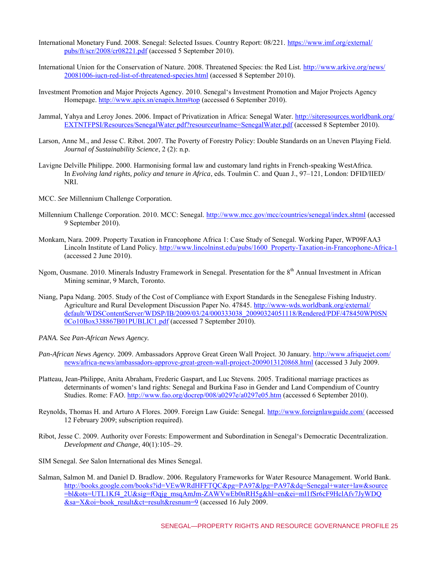- International Monetary Fund. 2008. Senegal: Selected Issues. Country Report: 08/221. [https://www.imf.org/external/](https://www.imf.org/external/pubs/ft/scr/2008/cr08221.pdf) [pubs/ft/scr/2008/cr08221.pdf \(](https://www.imf.org/external/pubs/ft/scr/2008/cr08221.pdf)accessed 5 September 2010).
- International Union for the Conservation of Nature. 2008. Threatened Species: the Red List. [http://www.arkive.org/news/](http://www.arkive.org/news/20081006-iucn-red-list-of-threatened-species.html) [20081006-iucn-red-list-of-threatened-species.html](http://www.arkive.org/news/20081006-iucn-red-list-of-threatened-species.html) (accessed 8 September 2010).
- Investment Promotion and Major Projects Agency. 2010. Senegal's Investment Promotion and Major Projects Agency Homepage.<http://www.apix.sn/enapix.htm#top>(accessed 6 September 2010).
- Jammal, Yahya and Leroy Jones. 2006. Impact of Privatization in Africa: Senegal Water. [http://siteresources.worldbank.org/](http://siteresources.worldbank.org/EXTNTFPSI/Resources/SenegalWater.pdf?resourceurlname=SenegalWater.pdf) [EXTNTFPSI/Resources/SenegalWater.pdf?resourceurlname=SenegalWater.pdf](http://siteresources.worldbank.org/EXTNTFPSI/Resources/SenegalWater.pdf?resourceurlname=SenegalWater.pdf) (accessed 8 September 2010).
- Larson, Anne M., and Jesse C. Ribot. 2007. The Poverty of Forestry Policy: Double Standards on an Uneven Playing Field. *Journal of Sustainability Science*, 2 (2): n.p.
- Lavigne Delville Philippe. 2000. Harmonising formal law and customary land rights in French-speaking WestAfrica. In *Evolving land rights, policy and tenure in Africa*, eds. Toulmin C. and Quan J., 97–121, London: DFID/IIED/ NRI.
- MCC. *See* Millennium Challenge Corporation.
- Millennium Challenge Corporation. 2010. MCC: Senegal.<http://www.mcc.gov/mcc/countries/senegal/index.shtml>(accessed 9 September 2010).
- Monkam, Nara. 2009. Property Taxation in Francophone Africa 1: Case Study of Senegal. Working Paper, WP09FAA3 Lincoln Institute of Land Policy. [http://www.lincolninst.edu/pubs/1600\\_Property-Taxation-in-Francophone-Africa-1](http://www.lincolninst.edu/pubs/1600_Property-Taxation-in-Francophone-Africa-1) (accessed 2 June 2010).
- Ngom, Ousmane. 2010. Minerals Industry Framework in Senegal. Presentation for the 8<sup>th</sup> Annual Investment in African Mining seminar, 9 March, Toronto.
- Niang, Papa Ndang. 2005. Study of the Cost of Compliance with Export Standards in the Senegalese Fishing Industry. Agriculture and Rural Development Discussion Paper No. 47845. [http://www-wds.worldbank.org/external/](http://www-wds.worldbank.org/external/default/WDSContentServer/WDSP/IB/2009/03/24/000333038_20090324051118/Rendered/PDF/478450WP0SN0Co10Box338867B01PUBLIC1.pdf) [default/WDSContentServer/WDSP/IB/2009/03/24/000333038\\_20090324051118/Rendered/PDF/478450WP0SN](http://www-wds.worldbank.org/external/default/WDSContentServer/WDSP/IB/2009/03/24/000333038_20090324051118/Rendered/PDF/478450WP0SN0Co10Box338867B01PUBLIC1.pdf) [0Co10Box338867B01PUBLIC1.pdf \(](http://www-wds.worldbank.org/external/default/WDSContentServer/WDSP/IB/2009/03/24/000333038_20090324051118/Rendered/PDF/478450WP0SN0Co10Box338867B01PUBLIC1.pdf)accessed 7 September 2010).
- *PANA.* See *Pan-African News Agency.*
- *Pan-African News Agency.* 2009. Ambassadors Approve Great Green Wall Project. 30 January. [http://www.afriquejet.com/](http://www.afriquejet.com/news/africa-news/ambassadors-approve-great-green-wall-project-2009013120868.html) [news/africa-news/ambassadors-approve-great-green-wall-project-2009013120868.html](http://www.afriquejet.com/news/africa-news/ambassadors-approve-great-green-wall-project-2009013120868.html) (accessed 3 July 2009.
- Platteau, Jean-Philippe, Anita Abraham, Frederic Gaspart, and Luc Stevens. 2005. Traditional marriage practices as determinants of women's land rights: Senegal and Burkina Faso in Gender and Land Compendium of Country Studies. Rome: FAO. [http://www.fao.org/docrep/008/a0297e/a0297e05.htm \(](http://www.fao.org/docrep/008/a0297e/a0297e05.htm)accessed 6 September 2010).
- Reynolds, Thomas H. and Arturo A Flores. 2009. Foreign Law Guide: Senegal.<http://www.foreignlawguide.com/>(accessed 12 February 2009; subscription required).
- Ribot, Jesse C. 2009. Authority over Forests: Empowerment and Subordination in Senegal's Democratic Decentralization. *Development and Change,* 40(1):105–29.
- SIM Senegal. *See* Salon International des Mines Senegal.
- Salman, Salmon M. and Daniel D. Bradlow. 2006. Regulatory Frameworks for Water Resource Management. World Bank. [http://books.google.com/books?id=VEwWRdHFFTQC&pg=PA97&lpg=PA97&dq=Senegal+water+law&source](http://books.google.com/books?id=VEwWRdHFFTQC&pg=PA97&lpg=PA97&dq=Senegal+water+law&source=bl&ots=UTL1Kf4_2U&sig=fOqjg_msqAmJm-ZAWVwEb0nRH5g&hl=en&ei=ml1fSr6cF9HclAfv7JyWDQ&sa=X&oi=book_result&ct=result&resnum=9) [=bl&ots=UTL1Kf4\\_2U&sig=fOqjg\\_msqAmJm-ZAWVwEb0nRH5g&hl=en&ei=ml1fSr6cF9HclAfv7JyWDQ](http://books.google.com/books?id=VEwWRdHFFTQC&pg=PA97&lpg=PA97&dq=Senegal+water+law&source=bl&ots=UTL1Kf4_2U&sig=fOqjg_msqAmJm-ZAWVwEb0nRH5g&hl=en&ei=ml1fSr6cF9HclAfv7JyWDQ&sa=X&oi=book_result&ct=result&resnum=9) [&sa=X&oi=book\\_result&ct=result&resnum=9](http://books.google.com/books?id=VEwWRdHFFTQC&pg=PA97&lpg=PA97&dq=Senegal+water+law&source=bl&ots=UTL1Kf4_2U&sig=fOqjg_msqAmJm-ZAWVwEb0nRH5g&hl=en&ei=ml1fSr6cF9HclAfv7JyWDQ&sa=X&oi=book_result&ct=result&resnum=9) (accessed 16 July 2009.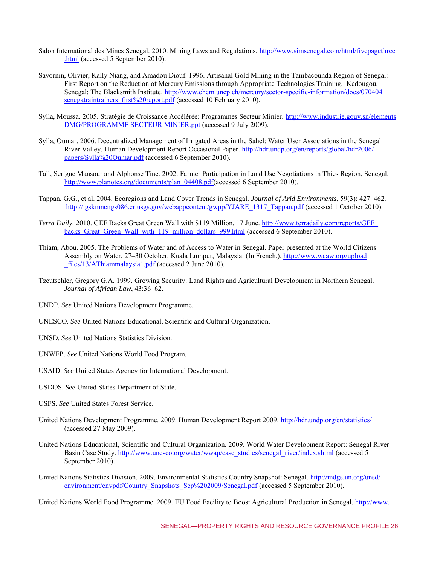- Salon International des Mines Senegal. 2010. Mining Laws and Regulations. [http://www.simsenegal.com/html/fivepagethree](http://www.simsenegal.com/html/fivepagethree.html) [.html](http://www.simsenegal.com/html/fivepagethree.html) (accessed 5 September 2010).
- Savornin, Olivier, Kally Niang, and Amadou Diouf. 1996. Artisanal Gold Mining in the Tambacounda Region of Senegal: First Report on the Reduction of Mercury Emissions through Appropriate Technologies Training. Kedougou, Senegal: The Blacksmith Institute. [http://www.chem.unep.ch/mercury/sector-specific-information/docs/070404](http://www.chem.unep.ch/mercury/sector-specific-information/docs/070404senegatraintrainers_first%20report.pdf) [senegatraintrainers\\_first%20report.pdf](http://www.chem.unep.ch/mercury/sector-specific-information/docs/070404senegatraintrainers_first%20report.pdf) (accessed 10 February 2010).
- Sylla, Moussa. 2005. Stratégie de Croissance Accélérée: Programmes Secteur Minier. [http://www.industrie.gouv.sn/elements](http://www.industrie.gouv.sn/elements%20DMG/PROGRAMME%20SECTEUR%20MINIER.ppt)  [DMG/PROGRAMME SECTEUR MINIER.ppt](http://www.industrie.gouv.sn/elements%20DMG/PROGRAMME%20SECTEUR%20MINIER.ppt) (accessed 9 July 2009).
- Sylla, Oumar. 2006. Decentralized Management of Irrigated Areas in the Sahel: Water User Associations in the Senegal River Valley. Human Development Report Occasional Paper. [http://hdr.undp.org/en/reports/global/hdr2006/](http://hdr.undp.org/en/reports/global/hdr2006/papers/Sylla%20Oumar.pdf) [papers/Sylla%20Oumar.pdf \(](http://hdr.undp.org/en/reports/global/hdr2006/papers/Sylla%20Oumar.pdf)accessed 6 September 2010).
- Tall, Serigne Mansour and Alphonse Tine. 2002. Farmer Participation in Land Use Negotiations in Thies Region, Senegal. [http://www.planotes.org/documents/plan\\_04408.pdf\(](http://www.planotes.org/documents/plan_04408.pdf)accessed 6 September 2010).
- Tappan, G.G., et al. 2004. Ecoregions and Land Cover Trends in Senegal. *Journal of Arid Environments*, 59(3): 427–462. [http://igskmncngs086.cr.usgs.gov/webappcontent/gwpp/YJARE\\_1317\\_Tappan.pdf](http://igskmncngs086.cr.usgs.gov/webappcontent/gwpp/YJARE_1317_Tappan.pdf) (accessed 1 October 2010).
- *Terra Daily.* 2010. GEF Backs Great Green Wall with \$119 Million. 17 June. [http://www.terradaily.com/reports/GEF\\_](http://www.terradaily.com/reports/GEF_backs_Great_Green_Wall_with_119_million_dollars_999.html) backs Great Green Wall\_with\_119\_million\_dollars\_999.html (accessed 6 September 2010).
- Thiam, Abou. 2005. The Problems of Water and of Access to Water in Senegal. Paper presented at the World Citizens Assembly on Water, 27–30 October, Kuala Lumpur, Malaysia. (In French.). [http://www.wcaw.org/upload](http://www.wcaw.org/upload_files/13/AThiammalaysia1.pdf) [\\_files/13/AThiammalaysia1.pdf](http://www.wcaw.org/upload_files/13/AThiammalaysia1.pdf) (accessed 2 June 2010).
- Tzeutschler, Gregory G.A. 1999. Growing Security: Land Rights and Agricultural Development in Northern Senegal. *Journal of African Law*, 43:36–62.
- UNDP. *See* United Nations Development Programme.
- UNESCO. *See* United Nations Educational, Scientific and Cultural Organization.
- UNSD. *See* United Nations Statistics Division.
- UNWFP. *See* United Nations World Food Program.
- USAID. *See* United States Agency for International Development.
- USDOS. *See* United States Department of State.
- USFS. *See* United States Forest Service.
- United Nations Development Programme. 2009. Human Development Report 2009.<http://hdr.undp.org/en/statistics/> (accessed 27 May 2009).
- United Nations Educational, Scientific and Cultural Organization. 2009. World Water Development Report: Senegal River Basin Case Study. [http://www.unesco.org/water/wwap/case\\_studies/senegal\\_river/index.shtml](http://www.unesco.org/water/wwap/case_studies/senegal_river/index.shtml) (accessed 5 September 2010).

United Nations Statistics Division. 2009. Environmental Statistics Country Snapshot: Senegal. [http://mdgs.un.org/unsd/](http://mdgs.un.org/unsd/environment/envpdf/Country_Snapshots_Sep%202009/Senegal.pdf) [environment/envpdf/Country\\_Snapshots\\_Sep%202009/Senegal.pdf](http://mdgs.un.org/unsd/environment/envpdf/Country_Snapshots_Sep%202009/Senegal.pdf) (accessed 5 September 2010).

United Nations World Food Programme. 2009. EU Food Facility to Boost Agricultural Production in Senegal. [http://www.](http://www.reliefweb.int/rw/rwb.nsf/db900sid/LSGZ-7UKFQ8?OpenDocument&RSS20&RSS20=FS)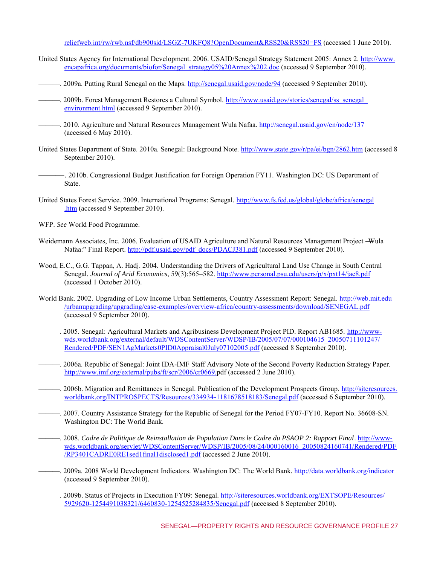reliefweb.int/rw/rwb.nsf/db900sid/LSGZ-7UKFQ8?OpenDocument&RSS20&RSS20=FS (accessed 1 June 2010).

- United States Agency for International Development. 2006. USAID/Senegal Strategy Statement 2005: Annex 2. [http://www.](http://www.encapafrica.org/documents/biofor/Senegal_strategy05%20Annex%202.doc) [encapafrica.org/documents/biofor/Senegal\\_strategy05%20Annex%202.doc](http://www.encapafrica.org/documents/biofor/Senegal_strategy05%20Annex%202.doc) (accessed 9 September 2010).
- ———. 2009a. Putting Rural Senegal on the Maps.<http://senegal.usaid.gov/node/94>(accessed 9 September 2010).
- ——. 2009b. Forest Management Restores a Cultural Symbol. http://www.usaid.gov/stories/senegal/ss\_senegal [environment.html \(](http://www.usaid.gov/stories/senegal/ss_senegal_environment.html)accessed 9 September 2010).
- ———. 2010. Agriculture and Natural Resources Management Wula Nafaa.<http://senegal.usaid.gov/en/node/137> (accessed 6 May 2010).
- United States Department of State. 2010a. Senegal: Background Note.<http://www.state.gov/r/pa/ei/bgn/2862.htm>(accessed 8 September 2010).
- ———. 2010b. Congressional Budget Justification for Foreign Operation FY11. Washington DC: US Department of State.
- United States Forest Service. 2009. International Programs: Senegal. [http://www.fs.fed.us/global/globe/africa/senegal](http://www.fs.fed.us/global/globe/africa/senegal.htm) [.htm](http://www.fs.fed.us/global/globe/africa/senegal.htm) (accessed 9 September 2010).
- WFP. *See* World Food Programme.
- Weidemann Associates, Inc. 2006. Evaluation of USAID Agriculture and Natural Resources Management Project Wula Nafaa:" Final Report. [http://pdf.usaid.gov/pdf\\_docs/PDACJ381.pdf](http://pdf.usaid.gov/pdf_docs/PDACJ381.pdf) (accessed 9 September 2010).
- Wood, E.C., G.G. Tappan, A. Hadj. 2004. Understanding the Drivers of Agricultural Land Use Change in South Central Senegal. *Journal of Arid Economics*, 59(3):565–582.<http://www.personal.psu.edu/users/p/x/pxt14/jae8.pdf> (accessed 1 October 2010).
- World Bank. 2002. Upgrading of Low Income Urban Settlements, Country Assessment Report: Senegal. [http://web.mit.edu](http://web.mit.edu/urbanupgrading/upgrading/case-examples/overview-africa/country-assessments/download/SENEGAL.pdf) [/urbanupgrading/upgrading/case-examples/overview-africa/country-assessments/download/SENEGAL.pdf](http://web.mit.edu/urbanupgrading/upgrading/case-examples/overview-africa/country-assessments/download/SENEGAL.pdf) (accessed 9 September 2010).
- ———. 2005. Senegal: Agricultural Markets and Agribusiness Development Project PID. Report AB1685. [http://www](http://www-wds.worldbank.org/external/default/WDSContentServer/WDSP/IB/2005/07/07/000104615_20050711101247/Rendered/PDF/SEN1AgMarkets0PID0Appraisal0July07102005.pdf)[wds.worldbank.org/external/default/WDSContentServer/WDSP/IB/2005/07/07/000104615\\_20050711101247/](http://www-wds.worldbank.org/external/default/WDSContentServer/WDSP/IB/2005/07/07/000104615_20050711101247/Rendered/PDF/SEN1AgMarkets0PID0Appraisal0July07102005.pdf) [Rendered/PDF/SEN1AgMarkets0PID0Appraisal0July07102005.pdf](http://www-wds.worldbank.org/external/default/WDSContentServer/WDSP/IB/2005/07/07/000104615_20050711101247/Rendered/PDF/SEN1AgMarkets0PID0Appraisal0July07102005.pdf) (accessed 8 September 2010).
- ———. 2006a. Republic of Senegal: Joint IDA-IMF Staff Advisory Note of the Second Poverty Reduction Strategy Paper. [http://www.imf.org/external/pubs/ft/scr/2006/cr0669.p](http://www.imf.org/external/pubs/ft/scr/2006/cr0669.pdf)df (accessed 2 June 2010).
- ———. 2006b. Migration and Remittances in Senegal. Publication of the Development Prospects Group. [http://siteresources.](http://siteresources.worldbank.org/INTPROSPECTS/Resources/334934-1181678518183/Senegal.pdf) [worldbank.org/INTPROSPECTS/Resources/334934-1181678518183/Senegal.pdf \(](http://siteresources.worldbank.org/INTPROSPECTS/Resources/334934-1181678518183/Senegal.pdf)accessed 6 September 2010).
- ———. 2007. Country Assistance Strategy for the Republic of Senegal for the Period FY07-FY10. Report No. 36608-SN. Washington DC: The World Bank.
- ———. 2008. *Cadre de Politique de Reinstallation de Population Dans le Cadre du PSAOP 2: Rapport Final*. [http://www](http://www-wds.worldbank.org/servlet/WDSContentServer/WDSP/IB/2005/08/24/000160016_20050824160741/Rendered/PDF/RP3401CADRE0RE1sed1final1disclosed1.pdf)[wds.worldbank.org/servlet/WDSContentServer/WDSP/IB/2005/08/24/000160016\\_20050824160741/Rendered/PDF](http://www-wds.worldbank.org/servlet/WDSContentServer/WDSP/IB/2005/08/24/000160016_20050824160741/Rendered/PDF/RP3401CADRE0RE1sed1final1disclosed1.pdf) [/RP3401CADRE0RE1sed1final1disclosed1.pdf \(](http://www-wds.worldbank.org/servlet/WDSContentServer/WDSP/IB/2005/08/24/000160016_20050824160741/Rendered/PDF/RP3401CADRE0RE1sed1final1disclosed1.pdf)accessed 2 June 2010).
- ———. 2009a. 2008 World Development Indicators. Washington DC: The World Bank.<http://data.worldbank.org/indicator> (accessed 9 September 2010).
- ———. 2009b. Status of Projects in Execution FY09: Senegal. [http://siteresources.worldbank.org/EXTSOPE/Resources/](http://siteresources.worldbank.org/EXTSOPE/Resources/5929620-1254491038321/6460830-1254525284835/Senegal.pdf) [5929620-1254491038321/6460830-1254525284835/Senegal.pdf](http://siteresources.worldbank.org/EXTSOPE/Resources/5929620-1254491038321/6460830-1254525284835/Senegal.pdf) (accessed 8 September 2010).